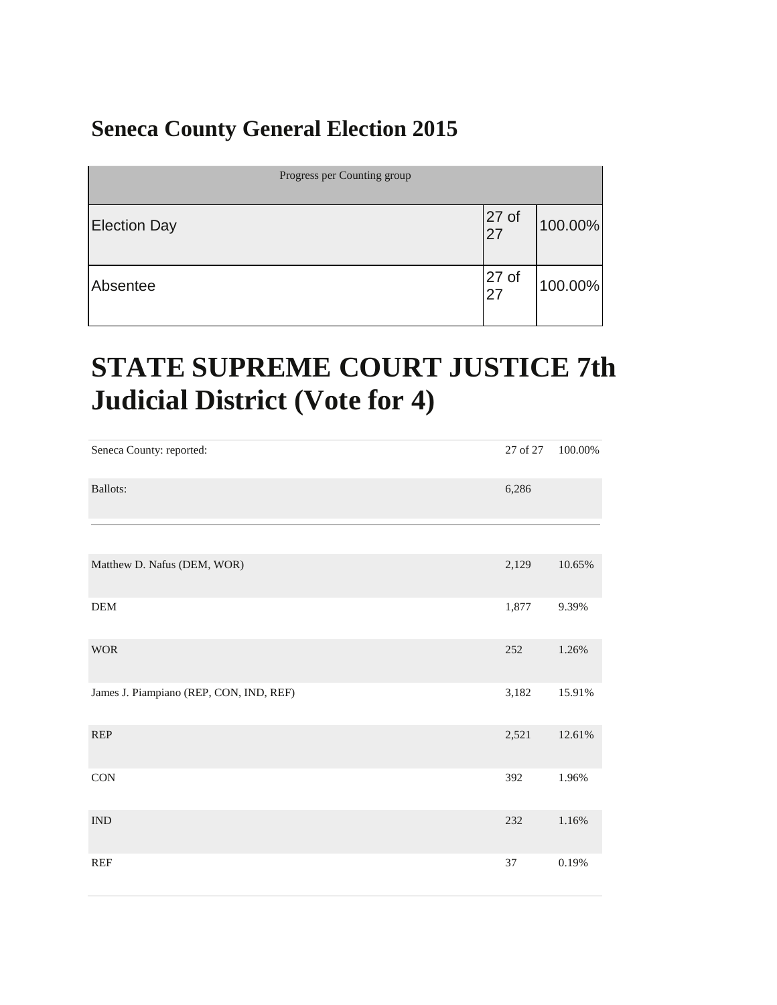#### **Seneca County General Election 2015**

| Progress per Counting group |                        |         |
|-----------------------------|------------------------|---------|
| <b>Election Day</b>         | 27 <sub>of</sub><br>27 | 100.00% |
| Absentee                    | 27 <sub>of</sub><br>27 | 100.00% |

#### **STATE SUPREME COURT JUSTICE 7th Judicial District (Vote for 4)**

| Seneca County: reported:                | 27 of 27 | $100.00\%$ |
|-----------------------------------------|----------|------------|
| Ballots:                                | 6,286    |            |
|                                         |          |            |
| Matthew D. Nafus (DEM, WOR)             | 2,129    | $10.65\%$  |
| DEM                                     | 1,877    | 9.39%      |
| <b>WOR</b>                              | 252      | 1.26%      |
| James J. Piampiano (REP, CON, IND, REF) | 3,182    | 15.91%     |
| <b>REP</b>                              | 2,521    | $12.61\%$  |
| <b>CON</b>                              | 392      | 1.96%      |
| <b>IND</b>                              | 232      | 1.16%      |
| <b>REF</b>                              | 37       | 0.19%      |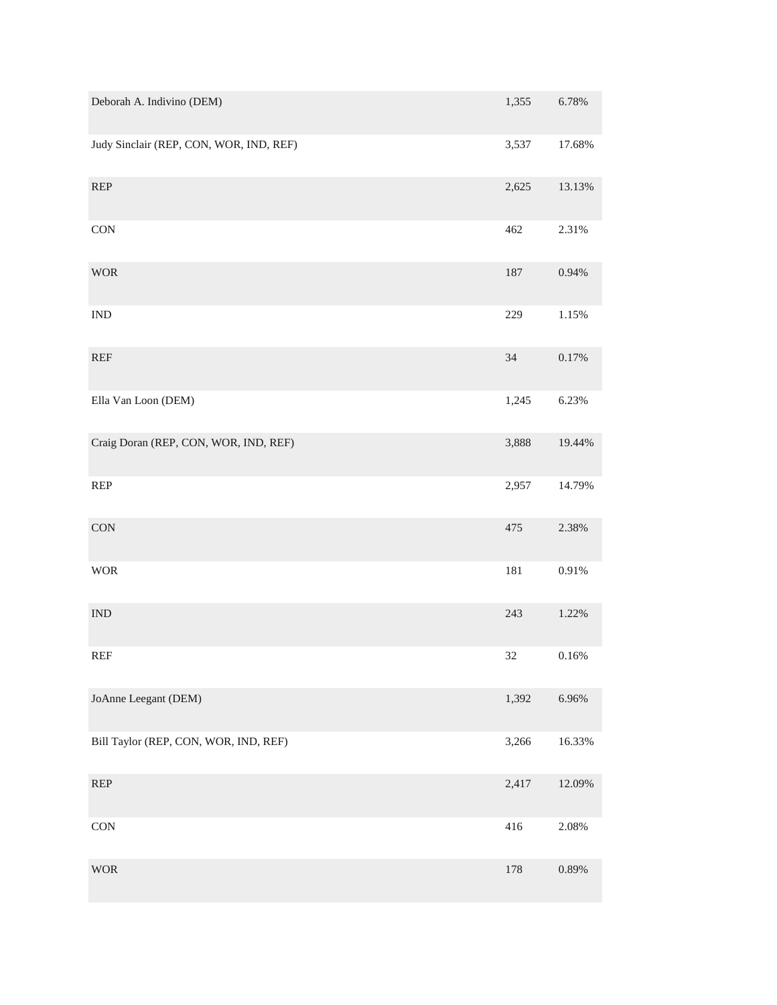| Deborah A. Indivino (DEM)               | 1,355 | 6.78%    |
|-----------------------------------------|-------|----------|
| Judy Sinclair (REP, CON, WOR, IND, REF) | 3,537 | 17.68%   |
| <b>REP</b>                              | 2,625 | 13.13%   |
| <b>CON</b>                              | 462   | 2.31%    |
| <b>WOR</b>                              | 187   | 0.94%    |
| $\mathop{\rm IND}\nolimits$             | 229   | 1.15%    |
| REF                                     | 34    | 0.17%    |
| Ella Van Loon (DEM)                     | 1,245 | 6.23%    |
| Craig Doran (REP, CON, WOR, IND, REF)   | 3,888 | 19.44%   |
| REP                                     | 2,957 | 14.79%   |
| <b>CON</b>                              | 475   | 2.38%    |
| <b>WOR</b>                              | 181   | $0.91\%$ |
| <b>IND</b>                              | 243   | 1.22%    |
| <b>REF</b>                              | 32    | 0.16%    |
| JoAnne Leegant (DEM)                    | 1,392 | 6.96%    |
| Bill Taylor (REP, CON, WOR, IND, REF)   | 3,266 | 16.33%   |
| REP                                     | 2,417 | 12.09%   |
| <b>CON</b>                              | 416   | 2.08%    |
| <b>WOR</b>                              | 178   | 0.89%    |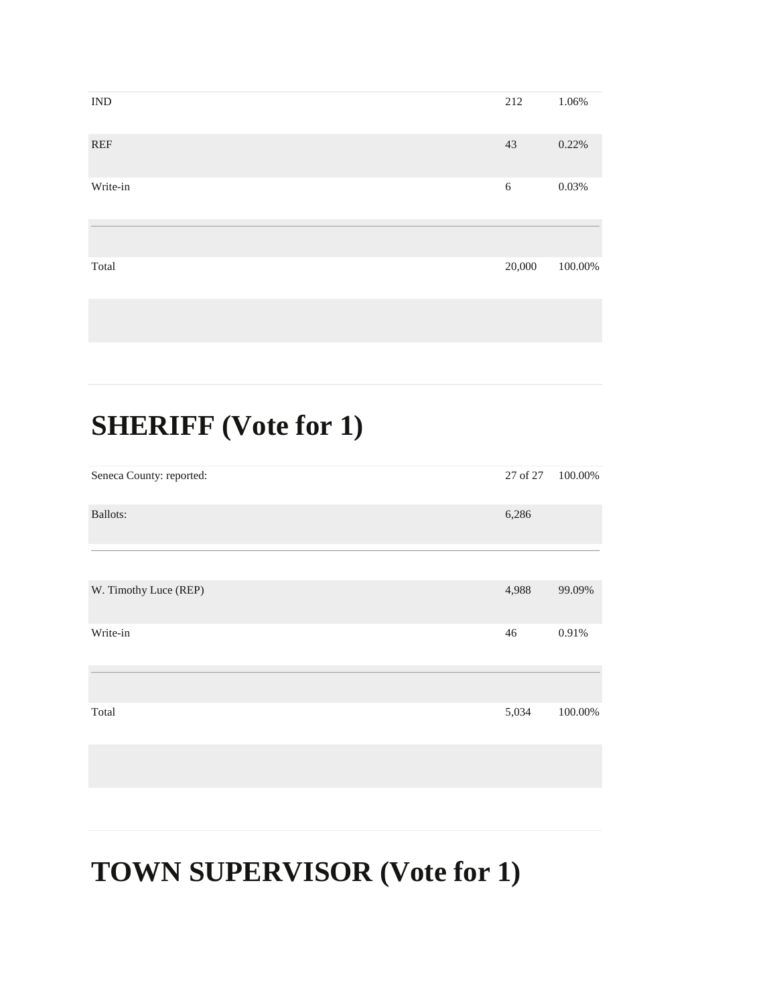| $\ensuremath{\mathsf{IND}}$ | 212    | 1.06%   |
|-----------------------------|--------|---------|
| <b>REF</b>                  | 43     | 0.22%   |
| Write-in                    | $6\,$  | 0.03%   |
|                             |        |         |
| Total                       | 20,000 | 100.00% |
|                             |        |         |

#### **SHERIFF (Vote for 1)**

| Seneca County: reported: | 27 of 27 | 100.00% |
|--------------------------|----------|---------|
| <b>Ballots:</b>          | 6,286    |         |
|                          |          |         |
| W. Timothy Luce (REP)    | 4,988    | 99.09%  |
| Write-in                 | 46       | 0.91%   |
|                          |          |         |
| Total                    | 5,034    | 100.00% |
|                          |          |         |

#### **TOWN SUPERVISOR (Vote for 1)**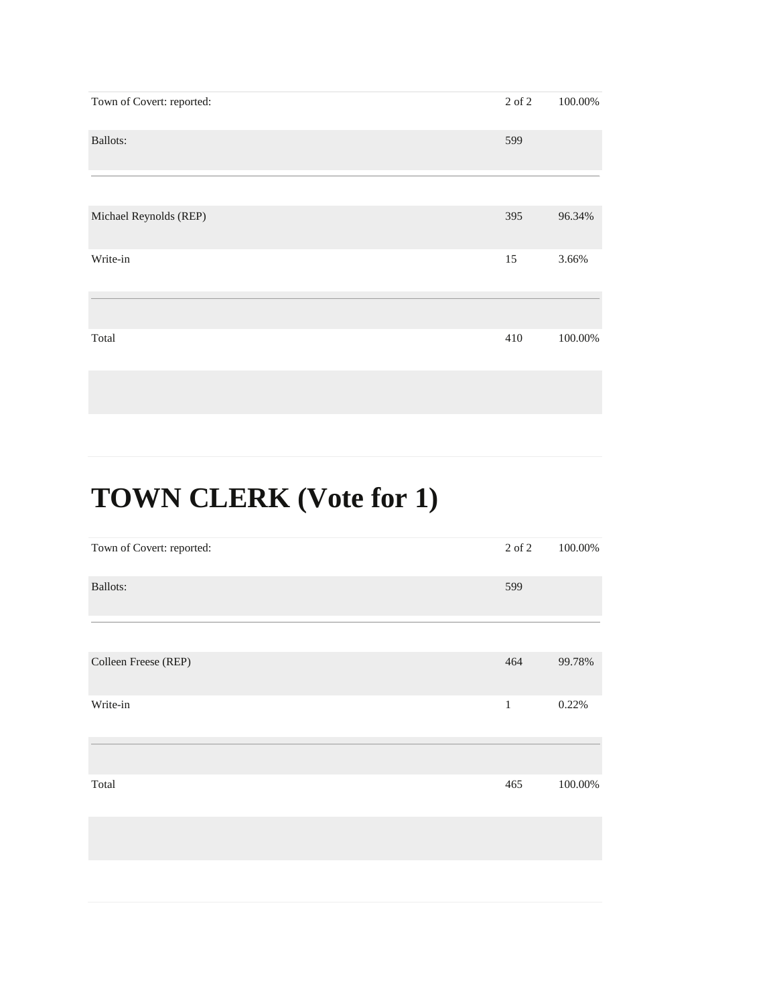| Town of Covert: reported: | 2 of 2 | 100.00% |
|---------------------------|--------|---------|
| <b>Ballots:</b>           | 599    |         |
|                           |        |         |
| Michael Reynolds (REP)    | 395    | 96.34%  |
| Write-in                  | 15     | 3.66%   |
|                           |        |         |
| Total                     | 410    | 100.00% |

| Town of Covert: reported: | 2 of 2       | 100.00% |
|---------------------------|--------------|---------|
| <b>Ballots:</b>           | 599          |         |
|                           |              |         |
| Colleen Freese (REP)      | 464          | 99.78%  |
| Write-in                  | $\mathbf{1}$ | 0.22%   |
|                           |              |         |
| Total                     | 465          | 100.00% |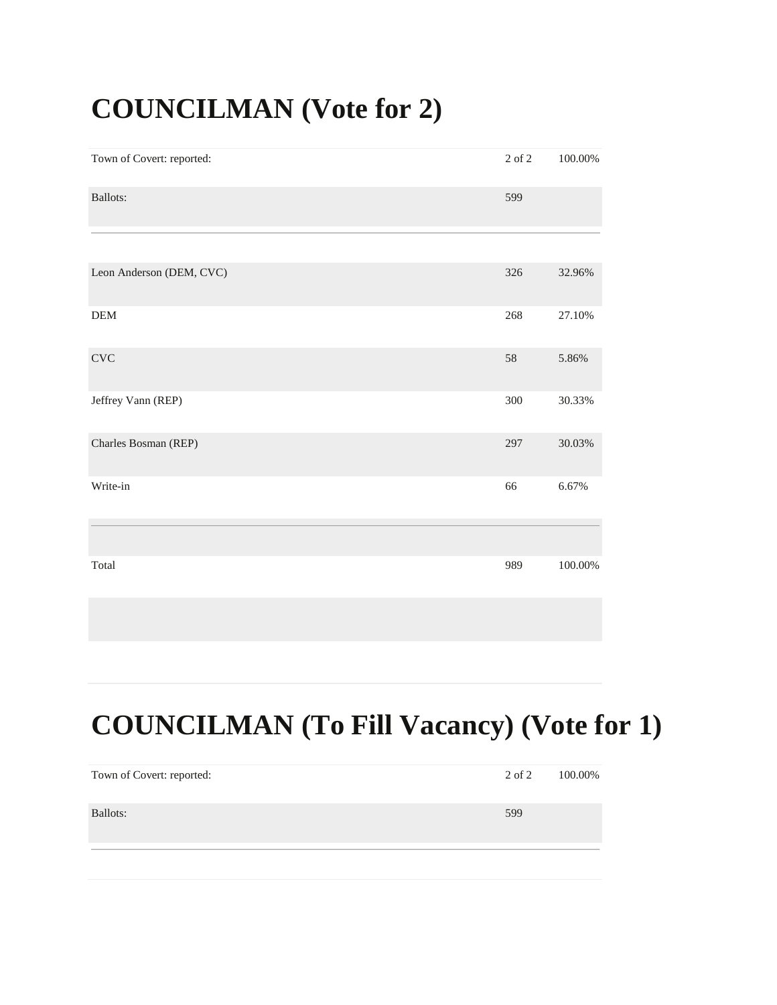#### **COUNCILMAN (Vote for 2)**

| Town of Covert: reported: | $2$ of $2\,$ | 100.00% |
|---------------------------|--------------|---------|
| Ballots:                  | 599          |         |
|                           |              |         |
| Leon Anderson (DEM, CVC)  | 326          | 32.96%  |
| $\mathbf{DEM}$            | 268          | 27.10%  |
| $\ensuremath{\text{CVC}}$ | 58           | 5.86%   |
| Jeffrey Vann (REP)        | 300          | 30.33%  |
| Charles Bosman (REP)      | 297          | 30.03%  |
| Write-in                  | 66           | 6.67%   |
|                           |              |         |
| Total                     | 989          | 100.00% |
|                           |              |         |

#### **COUNCILMAN (To Fill Vacancy) (Vote for 1)**

| Town of Covert: reported: | 2 of 2 | 100.00% |
|---------------------------|--------|---------|
| Ballots:                  | 599    |         |
|                           |        |         |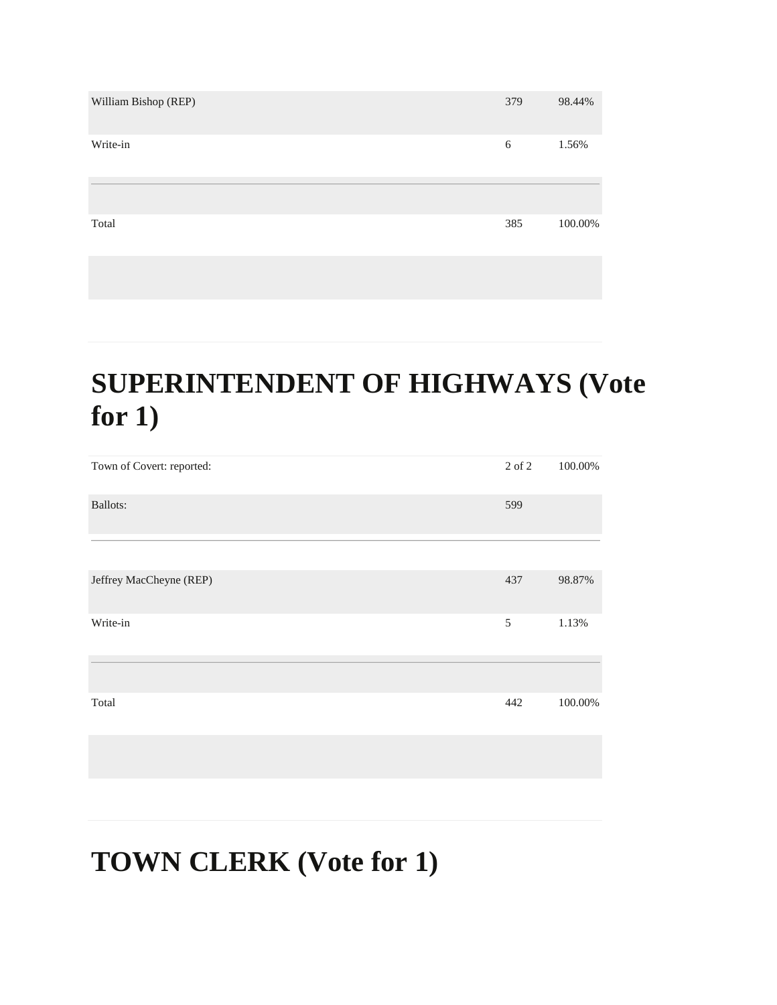| William Bishop (REP) | 379 | 98.44%  |
|----------------------|-----|---------|
| Write-in             | 6   | 1.56%   |
|                      |     |         |
| Total                | 385 | 100.00% |
|                      |     |         |

#### **SUPERINTENDENT OF HIGHWAYS (Vote for 1)**

| Town of Covert: reported: | 2 of 2 | 100.00% |
|---------------------------|--------|---------|
| Ballots:                  | 599    |         |
|                           |        |         |
| Jeffrey MacCheyne (REP)   | 437    | 98.87%  |
| Write-in                  | 5      | 1.13%   |
|                           |        |         |
| Total                     | 442    | 100.00% |
|                           |        |         |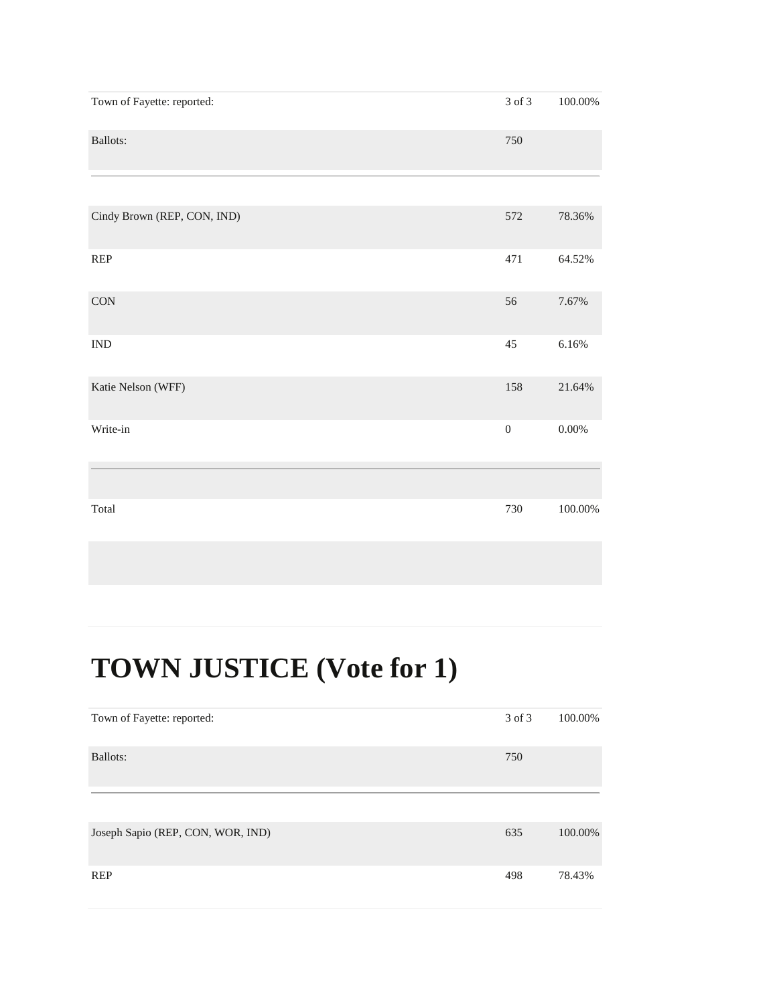| Town of Fayette: reported:  | $3$ of $3\,$     | $100.00\%$ |
|-----------------------------|------------------|------------|
| Ballots:                    | 750              |            |
|                             |                  |            |
| Cindy Brown (REP, CON, IND) | 572              | 78.36%     |
| REP                         | 471              | 64.52%     |
| $\rm CON$                   | 56               | 7.67%      |
| $\ensuremath{\text{IND}}$   | $45\,$           | $6.16\%$   |
| Katie Nelson (WFF)          | 158              | 21.64%     |
| Write-in                    | $\boldsymbol{0}$ | $0.00\%$   |
|                             |                  |            |
| Total                       | 730              | 100.00%    |

## **TOWN JUSTICE (Vote for 1)**

| Town of Fayette: reported:        | 3 of 3 | 100.00% |
|-----------------------------------|--------|---------|
| <b>Ballots:</b>                   | 750    |         |
|                                   |        |         |
| Joseph Sapio (REP, CON, WOR, IND) | 635    | 100.00% |
| <b>REP</b>                        | 498    | 78.43%  |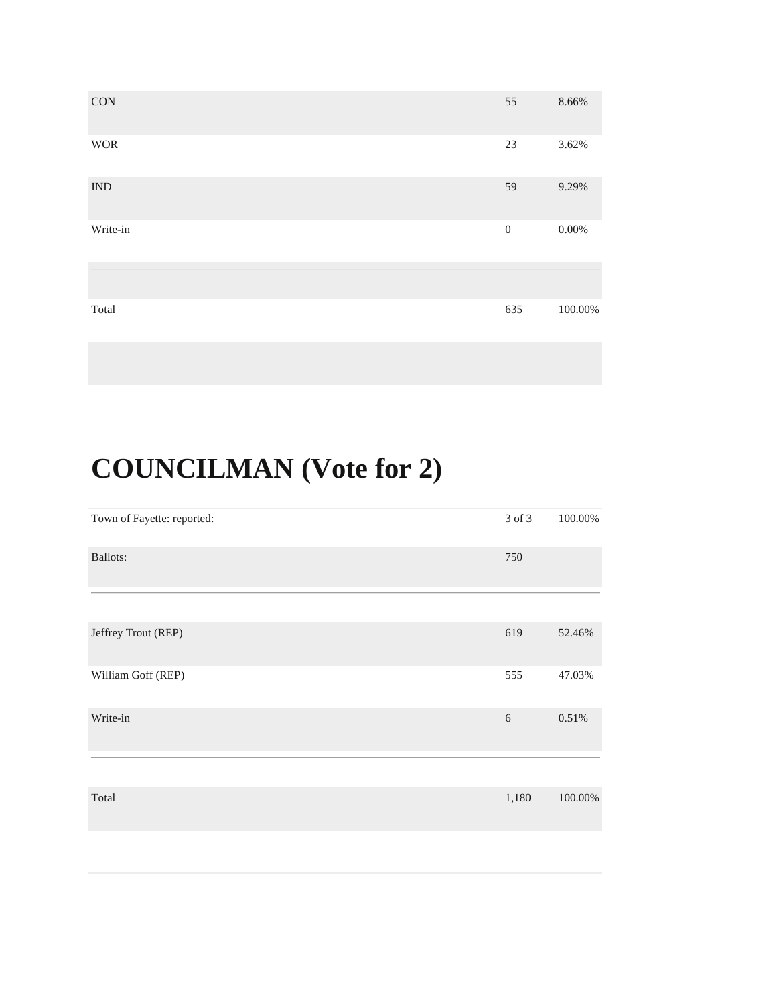| CON                       | 55               | 8.66%    |
|---------------------------|------------------|----------|
| <b>WOR</b>                | 23               | 3.62%    |
| $\ensuremath{\text{IND}}$ | 59               | 9.29%    |
| Write-in                  | $\boldsymbol{0}$ | $0.00\%$ |
|                           |                  |          |
| Total                     | 635              | 100.00%  |

# **COUNCILMAN (Vote for 2)**

| Town of Fayette: reported: | 3 of 3 | 100.00% |
|----------------------------|--------|---------|
| <b>Ballots:</b>            | 750    |         |
|                            |        |         |
| Jeffrey Trout (REP)        | 619    | 52.46%  |
| William Goff (REP)         | 555    | 47.03%  |
| Write-in                   | 6      | 0.51%   |
|                            |        |         |
| Total                      | 1,180  | 100.00% |
|                            |        |         |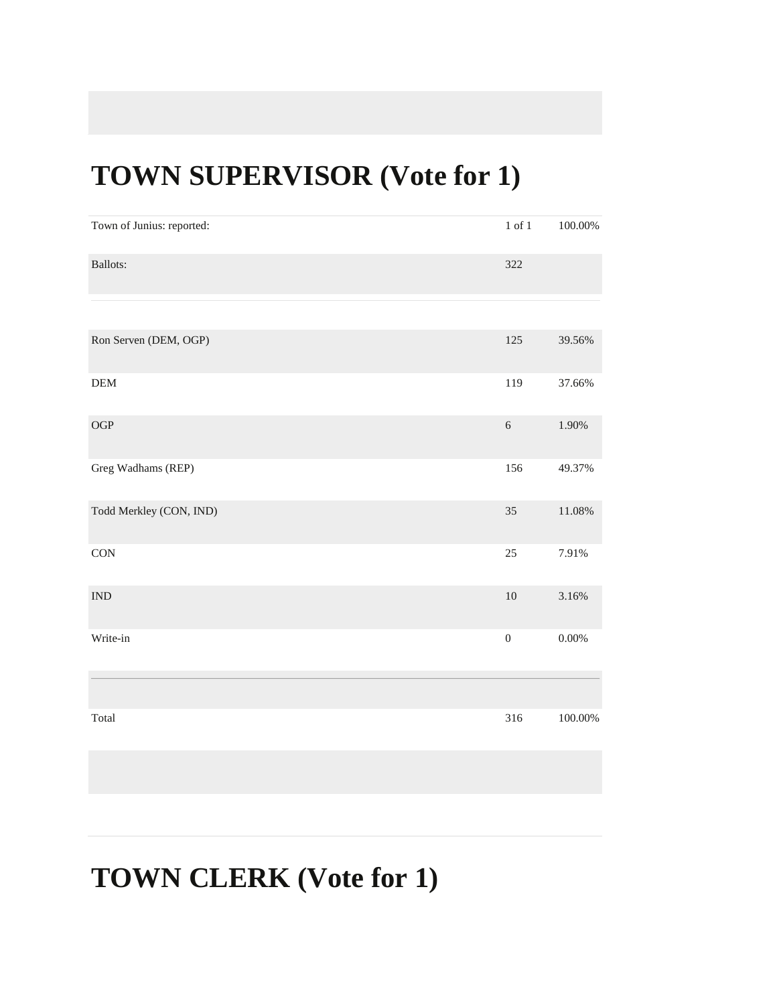#### **TOWN SUPERVISOR (Vote for 1)**

| Town of Junius: reported:   | $1$ of $1\,$     | $100.00\%$ |
|-----------------------------|------------------|------------|
| <b>Ballots:</b>             | 322              |            |
|                             |                  |            |
| Ron Serven (DEM, OGP)       | 125              | 39.56%     |
| ${\rm DEM}$                 | 119              | 37.66%     |
| $\rm OGP$                   | $\sqrt{6}$       | 1.90%      |
| Greg Wadhams (REP)          | 156              | 49.37%     |
| Todd Merkley (CON, IND)     | 35               | $11.08\%$  |
| CON                         | $25\,$           | 7.91%      |
| $\mathop{\rm IND}\nolimits$ | $10\,$           | 3.16%      |
| Write-in                    | $\boldsymbol{0}$ | $0.00\%$   |
|                             |                  |            |
| Total                       | 316              | $100.00\%$ |
|                             |                  |            |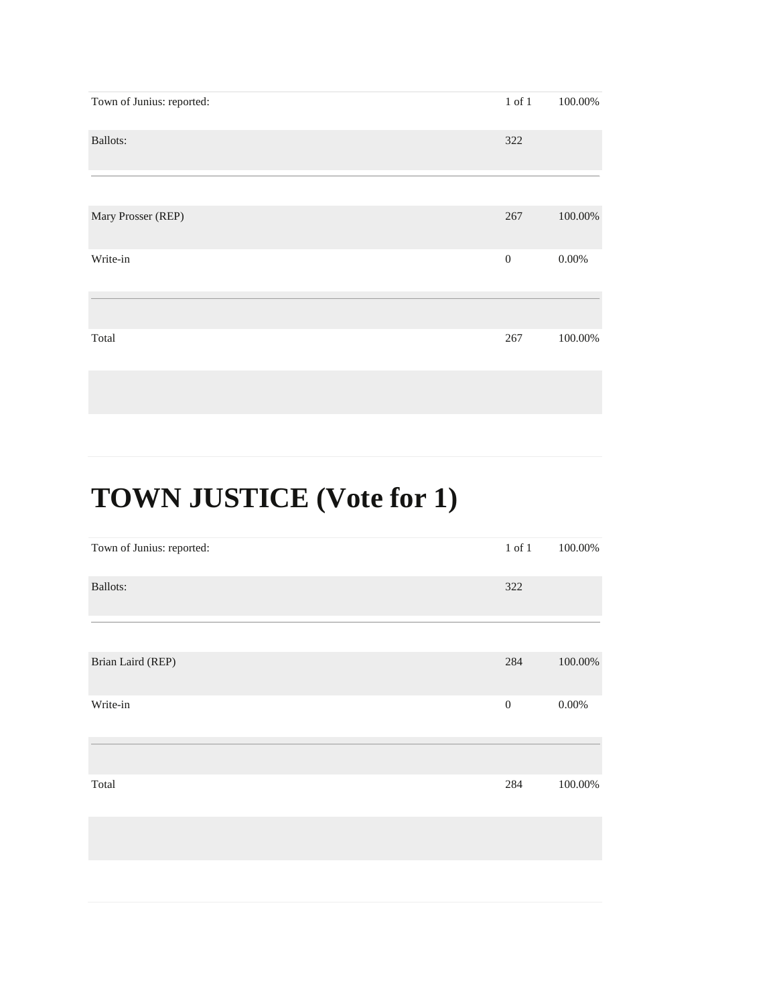| Town of Junius: reported: | $1$ of $1$ | 100.00%  |
|---------------------------|------------|----------|
| Ballots:                  | 322        |          |
|                           |            |          |
| Mary Prosser (REP)        | 267        | 100.00%  |
| Write-in                  | $\theta$   | $0.00\%$ |
|                           |            |          |
| Total                     | 267        | 100.00%  |

# **TOWN JUSTICE (Vote for 1)**

| Town of Junius: reported: | $1$ of $1$       | 100.00%  |
|---------------------------|------------------|----------|
| <b>Ballots:</b>           | 322              |          |
|                           |                  |          |
| Brian Laird (REP)         | 284              | 100.00%  |
| Write-in                  | $\boldsymbol{0}$ | $0.00\%$ |
|                           |                  |          |
| Total                     | 284              | 100.00%  |
|                           |                  |          |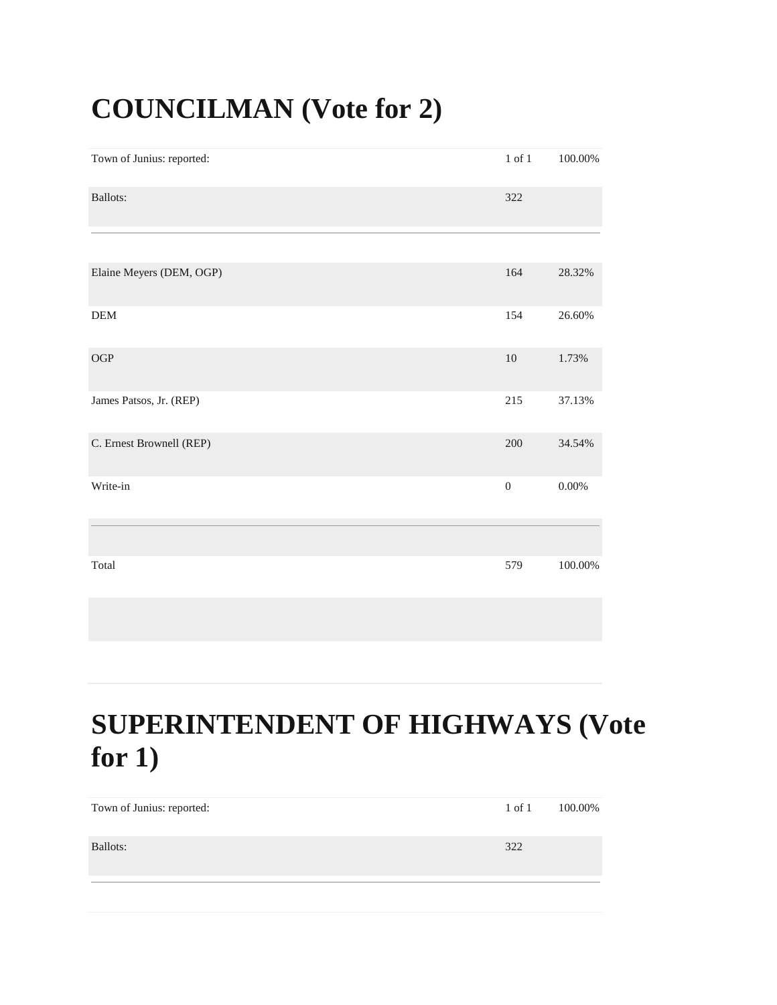#### **COUNCILMAN (Vote for 2)**

| Town of Junius: reported: | $1$ of $1\,$     | $100.00\%$ |
|---------------------------|------------------|------------|
| Ballots:                  | 322              |            |
|                           |                  |            |
| Elaine Meyers (DEM, OGP)  | 164              | 28.32%     |
| <b>DEM</b>                | 154              | 26.60%     |
| OGP                       | $10\,$           | 1.73%      |
| James Patsos, Jr. (REP)   | 215              | 37.13%     |
| C. Ernest Brownell (REP)  | $200\,$          | 34.54%     |
| Write-in                  | $\boldsymbol{0}$ | $0.00\%$   |
|                           |                  |            |
| Total                     | 579              | 100.00%    |

#### **SUPERINTENDENT OF HIGHWAYS (Vote for 1)**

| Town of Junius: reported: | 1 of 1 | 100.00% |
|---------------------------|--------|---------|
| Ballots:                  | 322    |         |
|                           |        |         |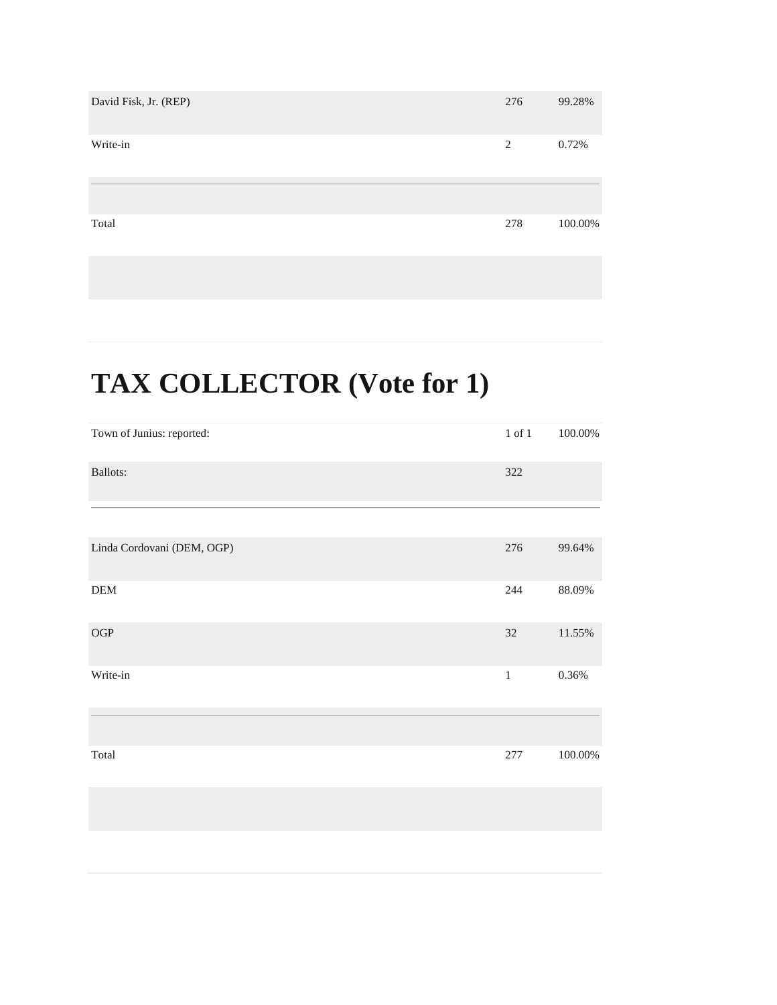| David Fisk, Jr. (REP) | 276 | 99.28%  |
|-----------------------|-----|---------|
| Write-in              | 2   | 0.72%   |
|                       |     |         |
| Total                 | 278 | 100.00% |

## **TAX COLLECTOR (Vote for 1)**

| Town of Junius: reported:  | $1$ of $1\,$ | $100.00\%$ |
|----------------------------|--------------|------------|
| Ballots:                   | 322          |            |
|                            |              |            |
| Linda Cordovani (DEM, OGP) | 276          | 99.64%     |
| DEM                        | 244          | 88.09%     |
| $\rm OGP$                  | $32\,$       | 11.55%     |
| Write-in                   | $\,1\,$      | $0.36\%$   |
|                            |              |            |
| Total                      | 277          | $100.00\%$ |
|                            |              |            |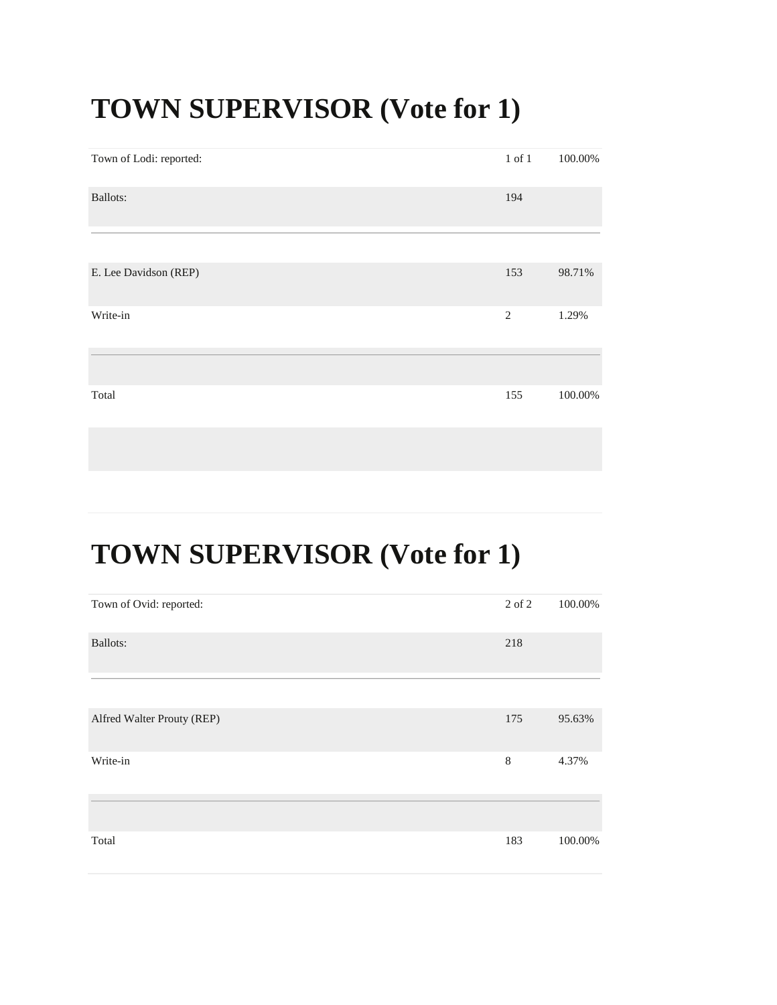#### **TOWN SUPERVISOR (Vote for 1)**

| Town of Lodi: reported: | $1$ of $1$     | 100.00% |
|-------------------------|----------------|---------|
| <b>Ballots:</b>         | 194            |         |
|                         |                |         |
| E. Lee Davidson (REP)   | 153            | 98.71%  |
| Write-in                | $\mathfrak{2}$ | 1.29%   |
|                         |                |         |
| Total                   | 155            | 100.00% |
|                         |                |         |

## **TOWN SUPERVISOR (Vote for 1)**

| Town of Ovid: reported:    | 2 of 2 | 100.00% |
|----------------------------|--------|---------|
| Ballots:                   | 218    |         |
|                            |        |         |
| Alfred Walter Prouty (REP) | 175    | 95.63%  |
| Write-in                   | 8      | 4.37%   |
|                            |        |         |
|                            |        |         |
| Total                      | 183    | 100.00% |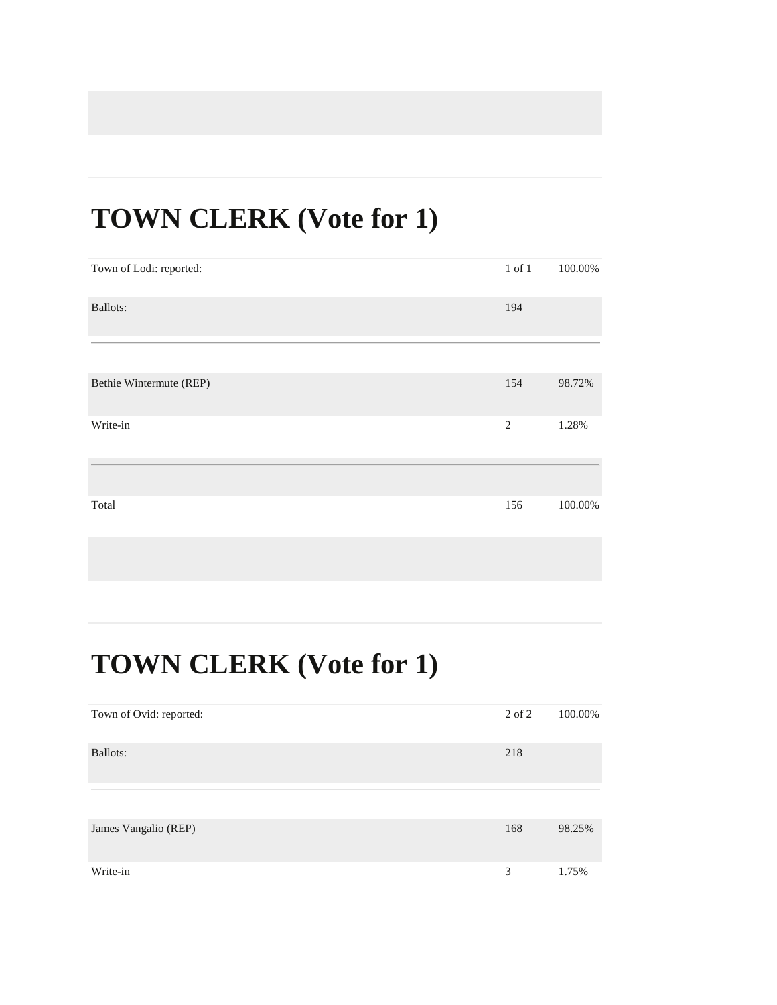#### **TOWN CLERK (Vote for 1)**

| Town of Lodi: reported: | $1$ of $1$     | 100.00% |
|-------------------------|----------------|---------|
| Ballots:                | 194            |         |
|                         |                |         |
| Bethie Wintermute (REP) | 154            | 98.72%  |
| Write-in                | $\overline{2}$ | 1.28%   |
|                         |                |         |
| Total                   | 156            | 100.00% |

| Town of Ovid: reported: | 2 of 2 | 100.00% |
|-------------------------|--------|---------|
| Ballots:                | 218    |         |
|                         |        |         |
| James Vangalio (REP)    | 168    | 98.25%  |
| Write-in                | 3      | 1.75%   |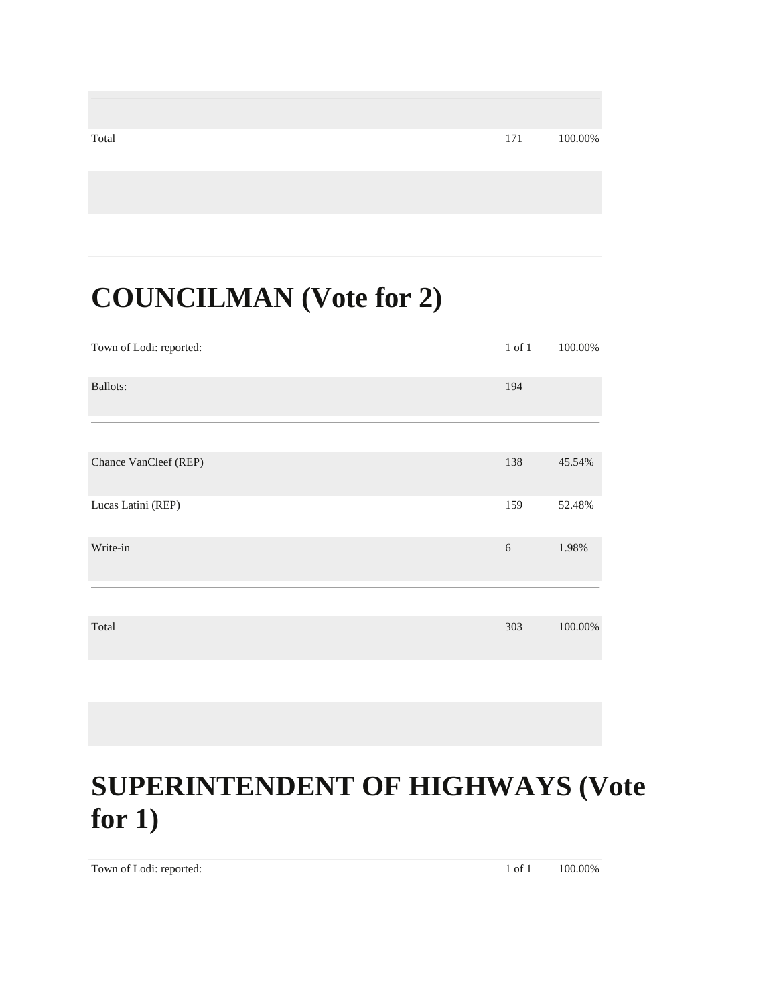| Total | 171 | 100.00% |
|-------|-----|---------|
|       |     |         |
|       |     |         |

#### **COUNCILMAN (Vote for 2)**

| Town of Lodi: reported: | $1$ of $1$ | 100.00% |
|-------------------------|------------|---------|
| <b>Ballots:</b>         | 194        |         |
|                         |            |         |
| Chance VanCleef (REP)   | 138        | 45.54%  |
| Lucas Latini (REP)      | 159        | 52.48%  |
| Write-in                | 6          | 1.98%   |
|                         |            |         |
| Total                   | 303        | 100.00% |

#### **SUPERINTENDENT OF HIGHWAYS (Vote for 1)**

Town of Lodi: reported: 1 of 1 100.00%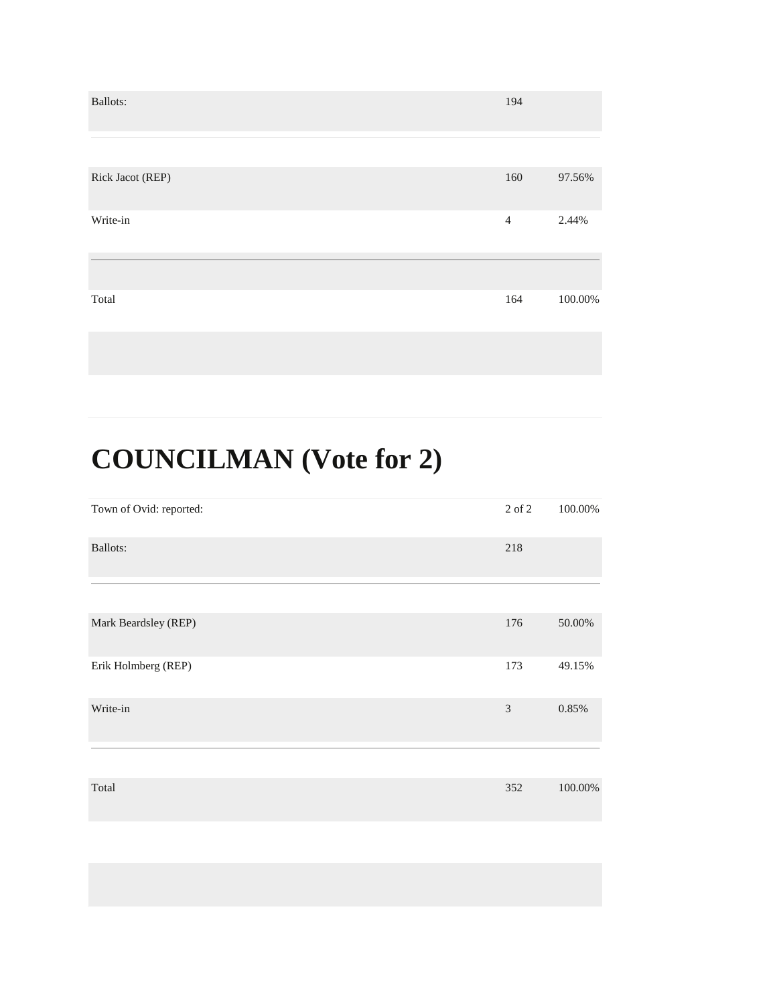| <b>Ballots:</b>  | 194            |         |
|------------------|----------------|---------|
|                  |                |         |
| Rick Jacot (REP) | 160            | 97.56%  |
| Write-in         | $\overline{4}$ | 2.44%   |
|                  |                |         |
| Total            | 164            | 100.00% |

# **COUNCILMAN (Vote for 2)**

| 2 of 2         | 100.00% |
|----------------|---------|
| 218            |         |
|                |         |
| 176            | 50.00%  |
| 173            | 49.15%  |
| $\mathfrak{Z}$ | 0.85%   |
|                |         |
| 352            | 100.00% |
|                |         |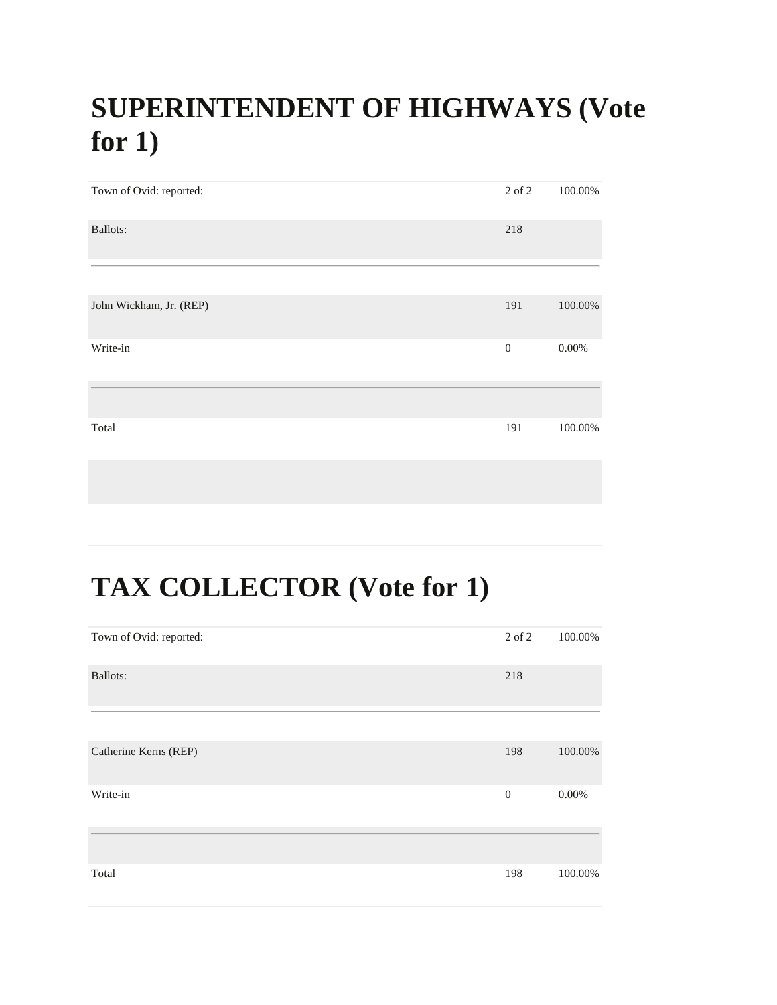#### **SUPERINTENDENT OF HIGHWAYS (Vote for 1)**

| Town of Ovid: reported: | 2 of 2           | 100.00%  |
|-------------------------|------------------|----------|
| Ballots:                | 218              |          |
|                         |                  |          |
| John Wickham, Jr. (REP) | 191              | 100.00%  |
| Write-in                | $\boldsymbol{0}$ | $0.00\%$ |
|                         |                  |          |
| Total                   | 191              | 100.00%  |
|                         |                  |          |

#### **TAX COLLECTOR (Vote for 1)**

| Town of Ovid: reported: | 2 of 2         | 100.00%  |
|-------------------------|----------------|----------|
| <b>Ballots:</b>         | 218            |          |
|                         |                |          |
| Catherine Kerns (REP)   | 198            | 100.00%  |
| Write-in                | $\overline{0}$ | $0.00\%$ |
|                         |                |          |
| Total                   | 198            | 100.00%  |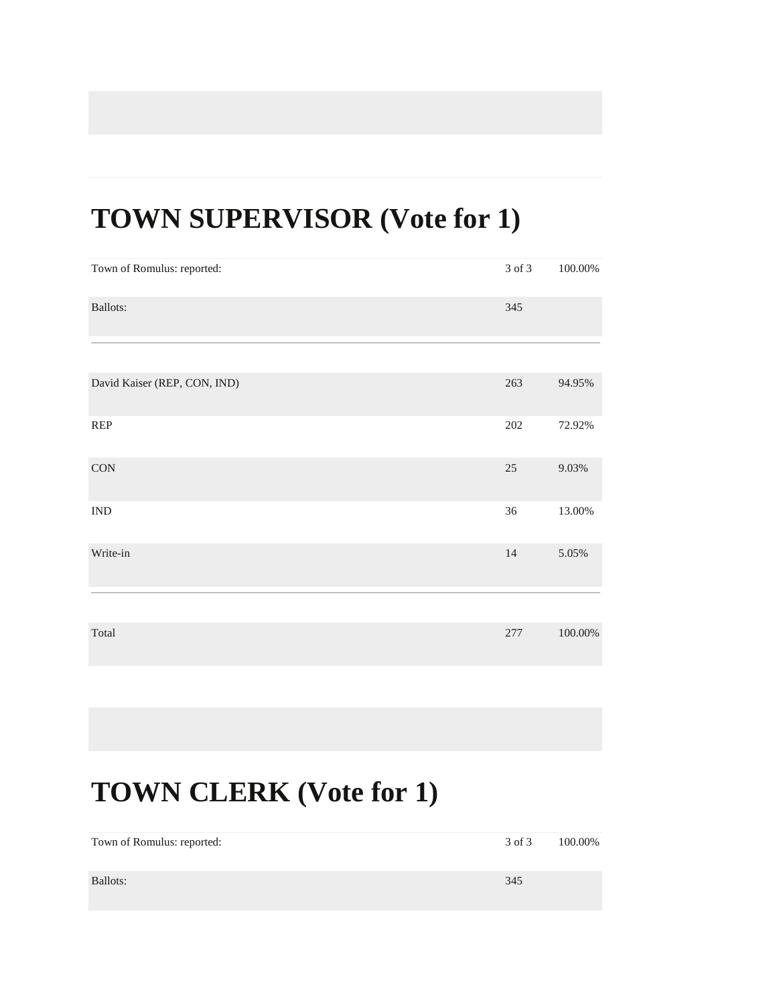#### **TOWN SUPERVISOR (Vote for 1)**

| Town of Romulus: reported:   | 3 of 3  | 100.00% |
|------------------------------|---------|---------|
| Ballots:                     | 345     |         |
|                              |         |         |
| David Kaiser (REP, CON, IND) | 263     | 94.95%  |
| REP                          | $202\,$ | 72.92%  |
| <b>CON</b>                   | 25      | 9.03%   |
| $\mathop{\rm IND}\nolimits$  | $36\,$  | 13.00%  |
| Write-in                     | 14      | 5.05%   |
|                              |         |         |
| Total                        | 277     | 100.00% |

| Town of Romulus: reported: | 3 of 3 | 100.00% |
|----------------------------|--------|---------|
| Ballots:                   | 345    |         |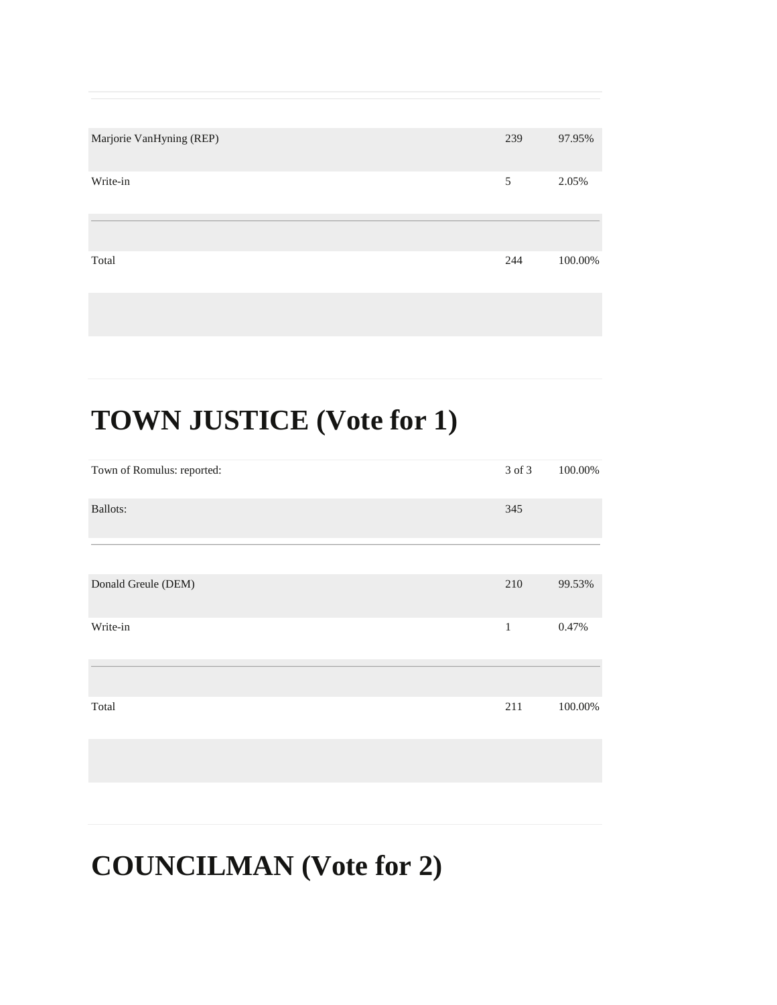| Marjorie VanHyning (REP) | 239 | 97.95%  |
|--------------------------|-----|---------|
| Write-in                 | 5   | 2.05%   |
|                          |     |         |
| Total                    | 244 | 100.00% |
|                          |     |         |

# **TOWN JUSTICE (Vote for 1)**

| Town of Romulus: reported: | 3 of 3       | 100.00% |
|----------------------------|--------------|---------|
| <b>Ballots:</b>            | 345          |         |
|                            |              |         |
| Donald Greule (DEM)        | 210          | 99.53%  |
| Write-in                   | $\mathbf{1}$ | 0.47%   |
|                            |              |         |
| Total                      | 211          | 100.00% |
|                            |              |         |

#### **COUNCILMAN (Vote for 2)**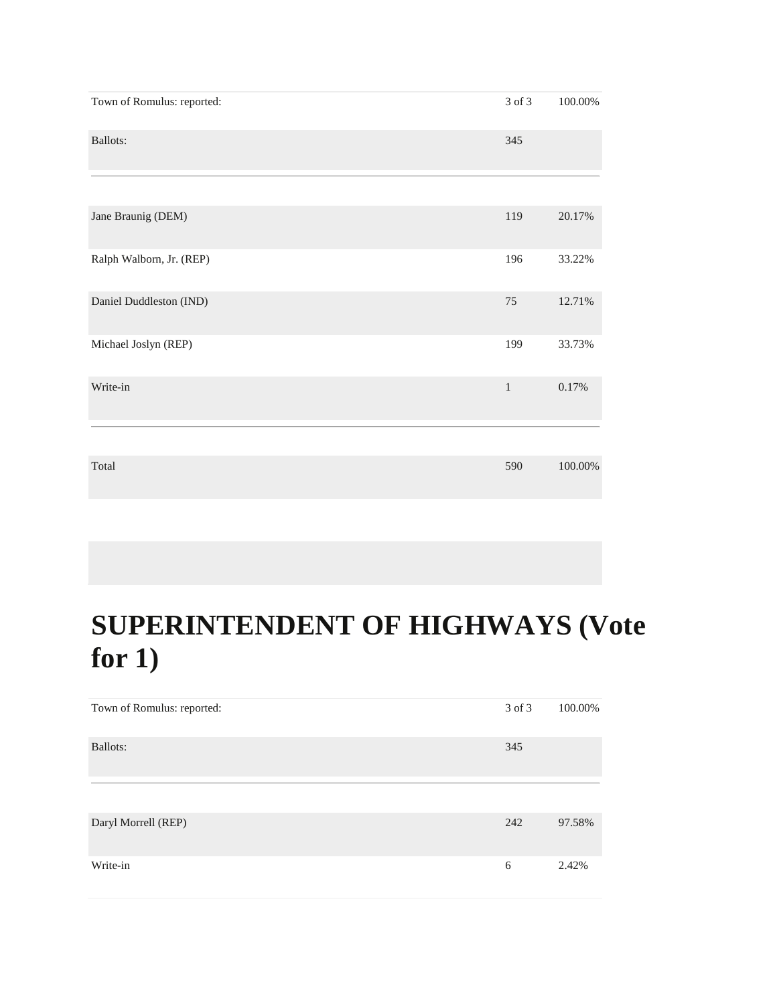| Town of Romulus: reported: | 3 of 3       | 100.00%    |
|----------------------------|--------------|------------|
| <b>Ballots:</b>            | 345          |            |
|                            |              |            |
| Jane Braunig (DEM)         | 119          | 20.17%     |
| Ralph Walborn, Jr. (REP)   | 196          | 33.22%     |
| Daniel Duddleston (IND)    | 75           | 12.71%     |
| Michael Joslyn (REP)       | 199          | 33.73%     |
| Write-in                   | $\mathbf{1}$ | 0.17%      |
| Total                      | 590          | $100.00\%$ |

#### **SUPERINTENDENT OF HIGHWAYS (Vote for 1)**

| Town of Romulus: reported: | 3 of 3 | 100.00% |
|----------------------------|--------|---------|
| Ballots:                   | 345    |         |
|                            |        |         |
| Daryl Morrell (REP)        | 242    | 97.58%  |
| Write-in                   | 6      | 2.42%   |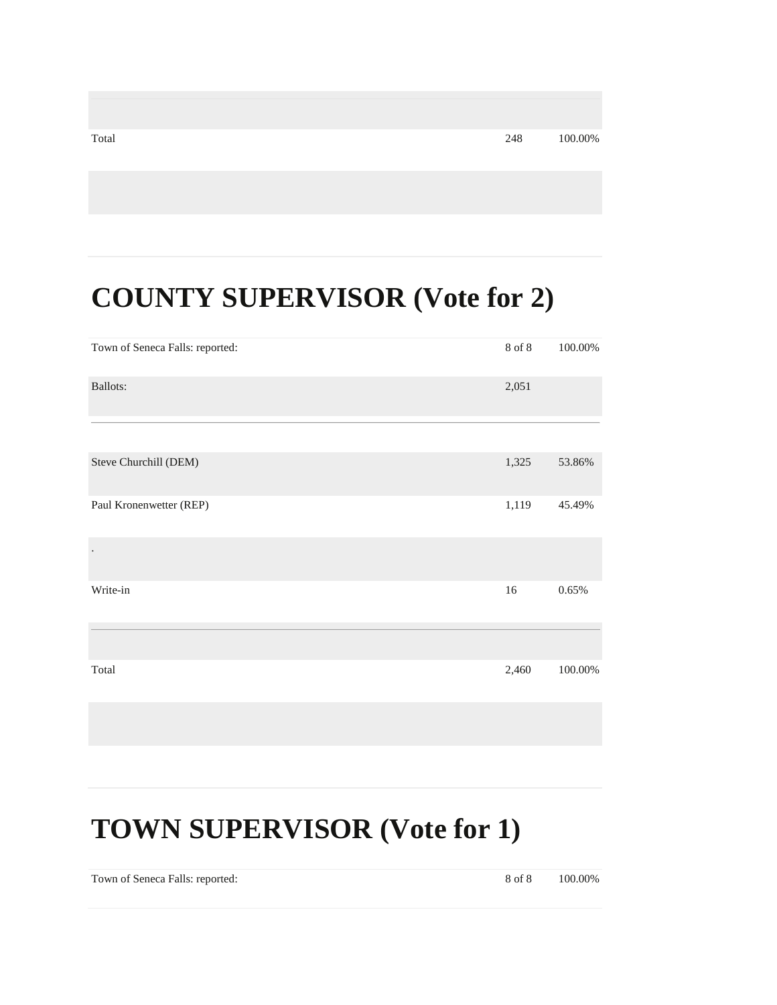| Total | 248 | 100.00% |
|-------|-----|---------|
|       |     |         |

#### **COUNTY SUPERVISOR (Vote for 2)**

| Town of Seneca Falls: reported: | $8$ of $8\,$ | 100.00%  |
|---------------------------------|--------------|----------|
| <b>Ballots:</b>                 | 2,051        |          |
|                                 |              |          |
| Steve Churchill (DEM)           | 1,325        | 53.86%   |
| Paul Kronenwetter (REP)         | 1,119        | 45.49%   |
|                                 |              |          |
| Write-in                        | 16           | $0.65\%$ |
|                                 |              |          |
| Total                           | 2,460        | 100.00%  |
|                                 |              |          |

#### **TOWN SUPERVISOR (Vote for 1)**

Town of Seneca Falls: reported: 8 of 8 100.00%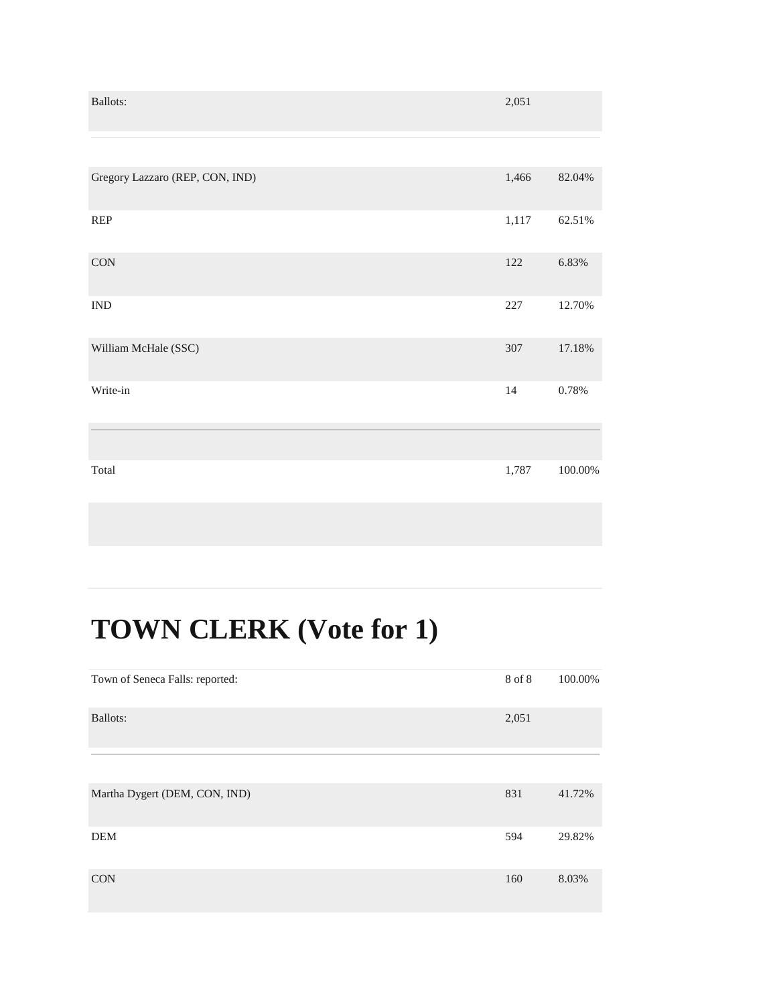| Ballots:                                                                | 2,051   |            |
|-------------------------------------------------------------------------|---------|------------|
|                                                                         |         |            |
| Gregory Lazzaro (REP, CON, IND)                                         | 1,466   | 82.04%     |
| $\ensuremath{\mathsf{R}}\ensuremath{\mathsf{E}}\ensuremath{\mathsf{P}}$ | 1,117   | 62.51%     |
| $\rm CON$                                                               | $122\,$ | 6.83%      |
| $\ensuremath{\text{IND}}$                                               | $227\,$ | 12.70%     |
| William McHale (SSC)                                                    | 307     | 17.18%     |
| Write-in                                                                | 14      | $0.78\%$   |
| Total                                                                   | 1,787   | $100.00\%$ |
|                                                                         |         |            |

| Town of Seneca Falls: reported: | 8 of 8 | 100.00% |
|---------------------------------|--------|---------|
| Ballots:                        | 2,051  |         |
|                                 |        |         |
| Martha Dygert (DEM, CON, IND)   | 831    | 41.72%  |
| <b>DEM</b>                      | 594    | 29.82%  |
| <b>CON</b>                      | 160    | 8.03%   |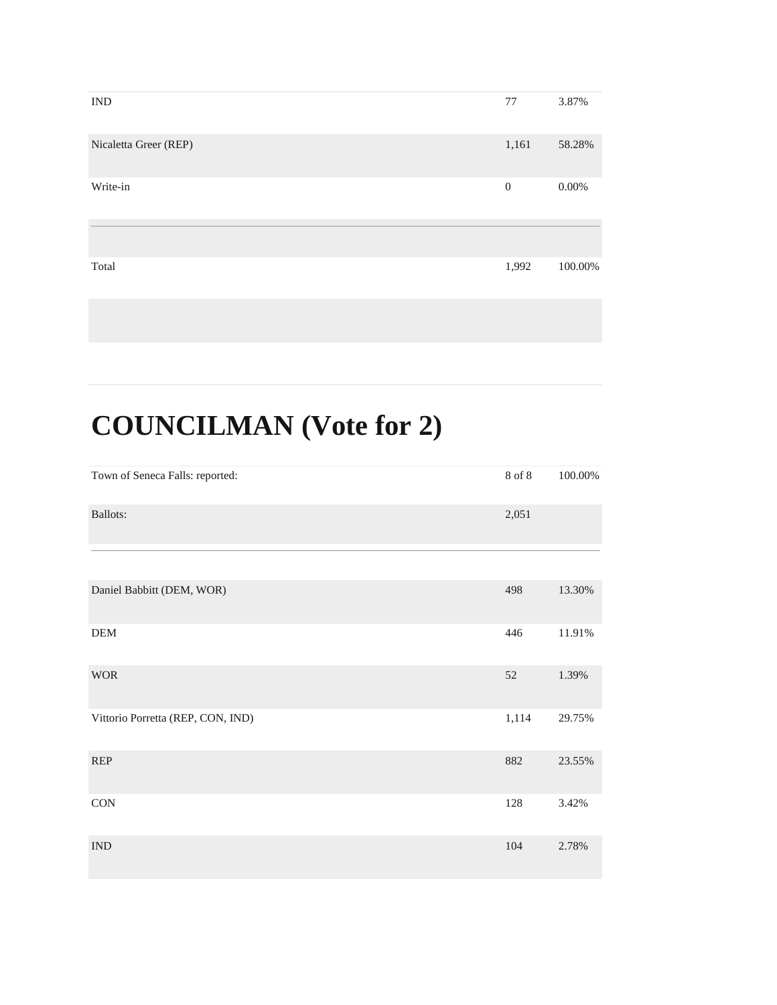| <b>IND</b>            | 77           | 3.87%    |
|-----------------------|--------------|----------|
| Nicaletta Greer (REP) | 1,161        | 58.28%   |
| Write-in              | $\mathbf{0}$ | $0.00\%$ |
|                       |              |          |
| Total                 | 1,992        | 100.00%  |
|                       |              |          |

# **COUNCILMAN (Vote for 2)**

| Town of Seneca Falls: reported:   | $8$ of $8\,$ | $100.00\%$ |
|-----------------------------------|--------------|------------|
| Ballots:                          | 2,051        |            |
|                                   |              |            |
| Daniel Babbitt (DEM, WOR)         | 498          | 13.30%     |
| ${\rm DEM}$                       | 446          | 11.91%     |
| <b>WOR</b>                        | 52           | 1.39%      |
| Vittorio Porretta (REP, CON, IND) | 1,114        | 29.75%     |
| <b>REP</b>                        | 882          | 23.55%     |
| <b>CON</b>                        | 128          | 3.42%      |
| $\ensuremath{\text{IND}}$         | 104          | 2.78%      |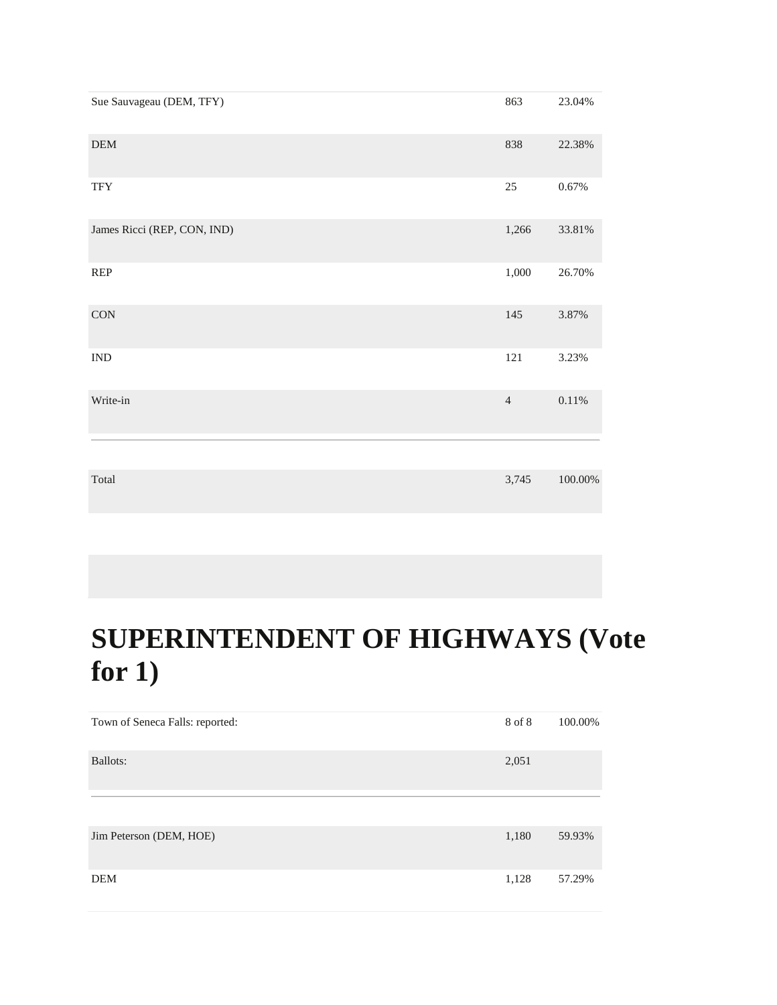| Sue Sauvageau (DEM, TFY)    | 863            | 23.04%     |
|-----------------------------|----------------|------------|
| ${\rm DEM}$                 | 838            | 22.38%     |
| <b>TFY</b>                  | $25\,$         | $0.67\%$   |
| James Ricci (REP, CON, IND) | 1,266          | 33.81%     |
| <b>REP</b>                  | 1,000          | 26.70%     |
| $\rm CON$                   | 145            | 3.87%      |
| $\mathop{\rm IND}\nolimits$ | 121            | 3.23%      |
| Write-in                    | $\overline{4}$ | $0.11\%$   |
|                             |                |            |
| Total                       | 3,745          | $100.00\%$ |

#### **SUPERINTENDENT OF HIGHWAYS (Vote for 1)**

| Town of Seneca Falls: reported: | 8 of 8 | 100.00% |
|---------------------------------|--------|---------|
| Ballots:                        | 2,051  |         |
|                                 |        |         |
| Jim Peterson (DEM, HOE)         | 1,180  | 59.93%  |
| DEM                             | 1,128  | 57.29%  |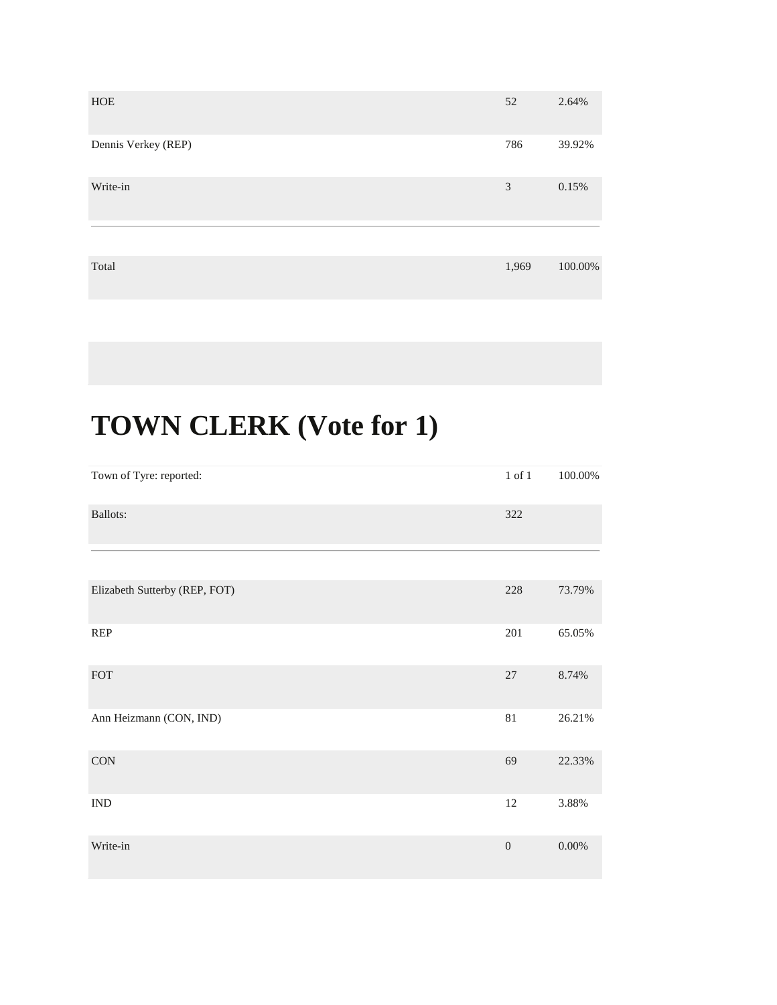| HOE                 | 52    | 2.64%   |
|---------------------|-------|---------|
| Dennis Verkey (REP) | 786   | 39.92%  |
| Write-in            | 3     | 0.15%   |
|                     |       |         |
| Total               | 1,969 | 100.00% |

| Town of Tyre: reported:       | $1$ of $1\,$   | $100.00\%$ |
|-------------------------------|----------------|------------|
| Ballots:                      | 322            |            |
|                               |                |            |
| Elizabeth Sutterby (REP, FOT) | 228            | 73.79%     |
| <b>REP</b>                    | 201            | 65.05%     |
| ${\rm FOT}$                   | $27\,$         | 8.74%      |
| Ann Heizmann (CON, IND)       | $81\,$         | 26.21%     |
| $\rm CON$                     | 69             | 22.33%     |
| $\mathop{\rm IND}\nolimits$   | 12             | 3.88%      |
| Write-in                      | $\overline{0}$ | $0.00\%$   |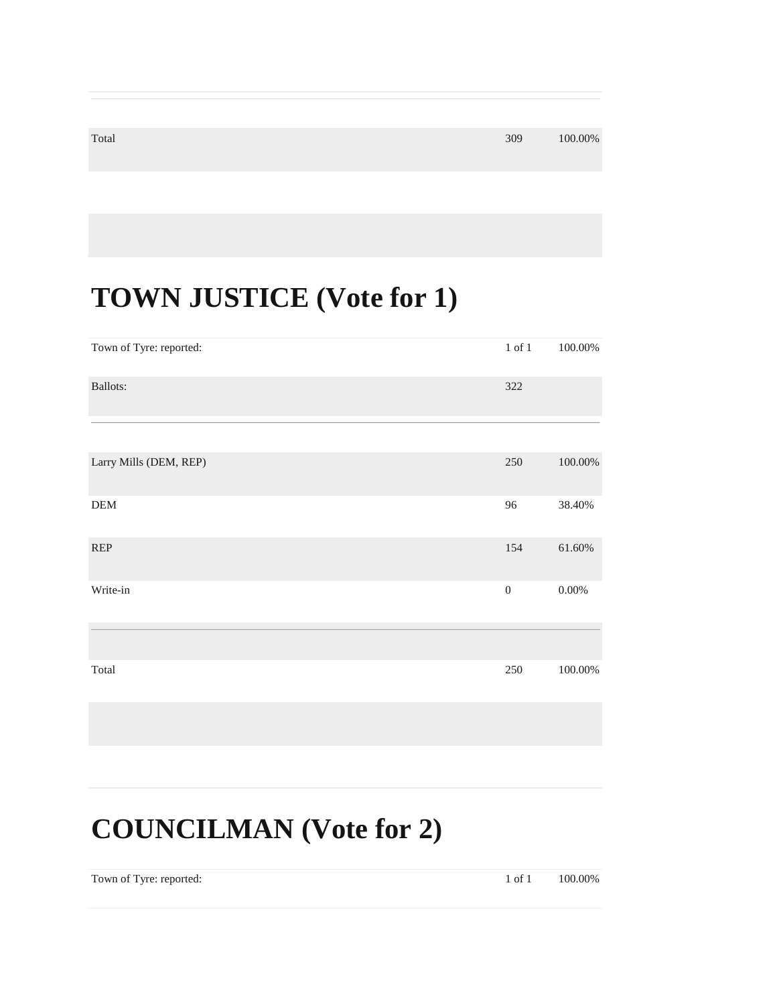#### $\frac{309}{100.00\%}$

#### **TOWN JUSTICE (Vote for 1)**

| Town of Tyre: reported: | $1$ of $1\,$     | 100.00%    |
|-------------------------|------------------|------------|
| <b>Ballots:</b>         | 322              |            |
|                         |                  |            |
| Larry Mills (DEM, REP)  | 250              | $100.00\%$ |
| ${\rm DEM}$             | 96               | 38.40%     |
| <b>REP</b>              | 154              | 61.60%     |
| Write-in                | $\boldsymbol{0}$ | $0.00\%$   |
|                         |                  |            |
| Total                   | 250              | $100.00\%$ |

#### **COUNCILMAN (Vote for 2)**

Town of Tyre: reported: 1 of 1 100.00%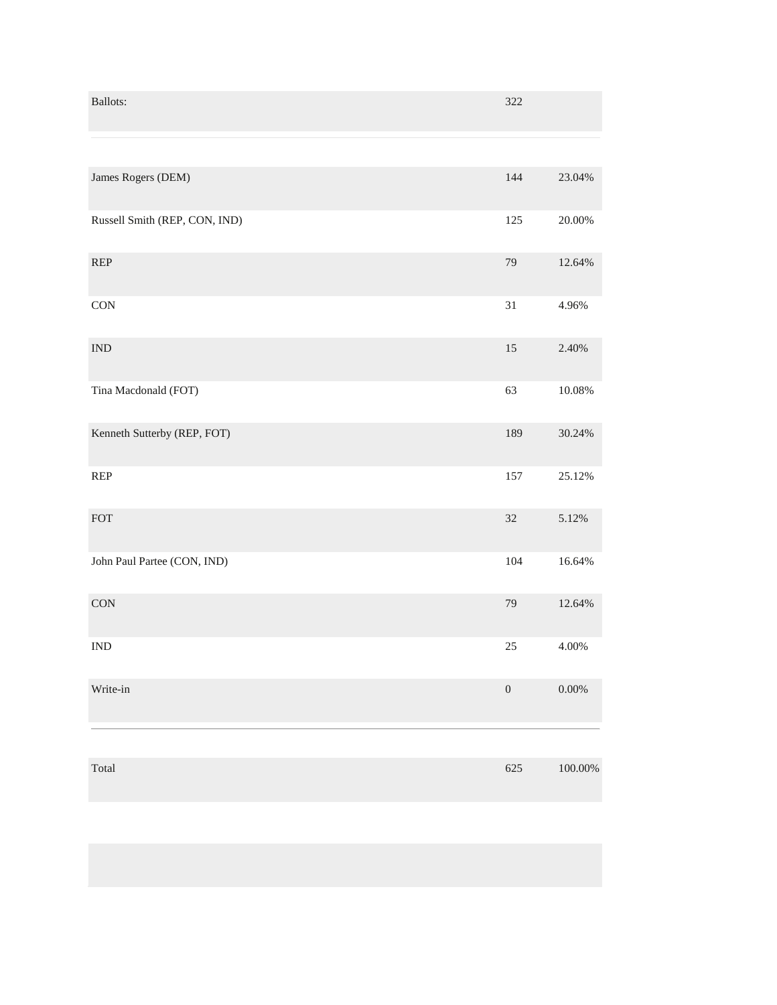| Ballots:                      | 322              |           |
|-------------------------------|------------------|-----------|
|                               |                  |           |
| James Rogers (DEM)            | 144              | 23.04%    |
| Russell Smith (REP, CON, IND) | 125              | 20.00%    |
| REP                           | 79               | 12.64%    |
| $\rm CON$                     | $31\,$           | 4.96%     |
| <b>IND</b>                    | $15\,$           | 2.40%     |
| Tina Macdonald (FOT)          | 63               | $10.08\%$ |
| Kenneth Sutterby (REP, FOT)   | 189              | 30.24%    |
| <b>REP</b>                    | 157              | 25.12%    |
| FOT                           | $32\,$           | 5.12%     |
| John Paul Partee (CON, IND)   | 104              | 16.64%    |
| CON                           | 79               | 12.64%    |
| $\mathop{\rm IND}\nolimits$   | $25\,$           | $4.00\%$  |
| Write-in                      | $\boldsymbol{0}$ | $0.00\%$  |
|                               |                  |           |
| Total                         | 625              | 100.00%   |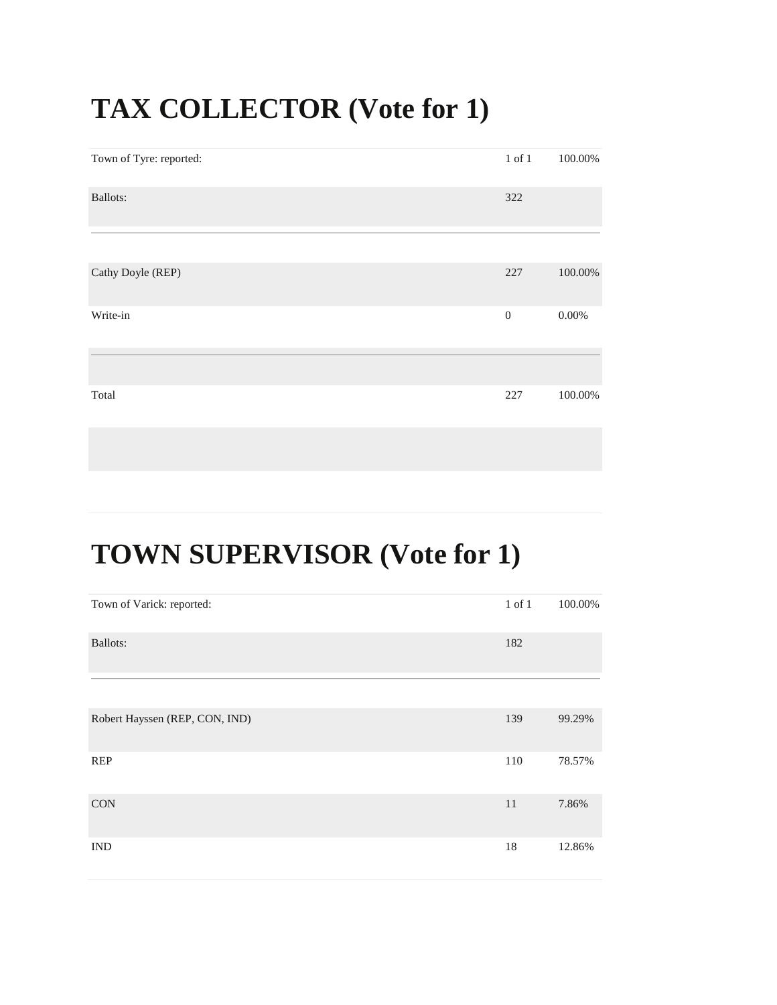#### **TAX COLLECTOR (Vote for 1)**

| Town of Tyre: reported: | $1$ of $1\,$     | 100.00%    |
|-------------------------|------------------|------------|
| Ballots:                | 322              |            |
|                         |                  |            |
| Cathy Doyle (REP)       | 227              | $100.00\%$ |
| Write-in                | $\boldsymbol{0}$ | $0.00\%$   |
|                         |                  |            |
| Total                   | 227              | 100.00%    |
|                         |                  |            |

## **TOWN SUPERVISOR (Vote for 1)**

| Town of Varick: reported:      | $1$ of $1$ | 100.00% |
|--------------------------------|------------|---------|
| <b>Ballots:</b>                | 182        |         |
|                                |            |         |
| Robert Hayssen (REP, CON, IND) | 139        | 99.29%  |
| <b>REP</b>                     | 110        | 78.57%  |
| <b>CON</b>                     | 11         | 7.86%   |
| $\ensuremath{\text{IND}}$      | 18         | 12.86%  |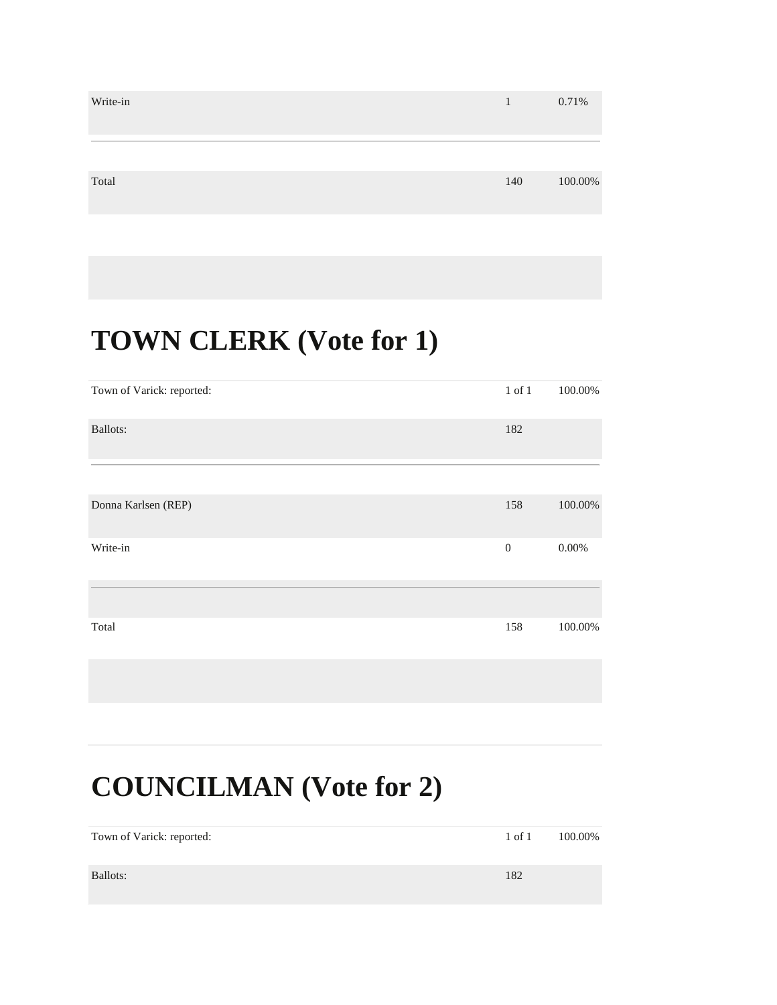| Write-in | $\mathbf{1}$ | 0.71%   |
|----------|--------------|---------|
| Total    | 140          | 100.00% |

#### **TOWN CLERK (Vote for 1)**

| Town of Varick: reported: | $1$ of $1$   | 100.00%  |
|---------------------------|--------------|----------|
| Ballots:                  | 182          |          |
|                           |              |          |
| Donna Karlsen (REP)       | 158          | 100.00%  |
| Write-in                  | $\mathbf{0}$ | $0.00\%$ |
|                           |              |          |
| Total                     | 158          | 100.00%  |
|                           |              |          |

#### **COUNCILMAN (Vote for 2)**

| Town of Varick: reported: | $1$ of $1$ | 100.00% |
|---------------------------|------------|---------|
| Ballots:                  | 182        |         |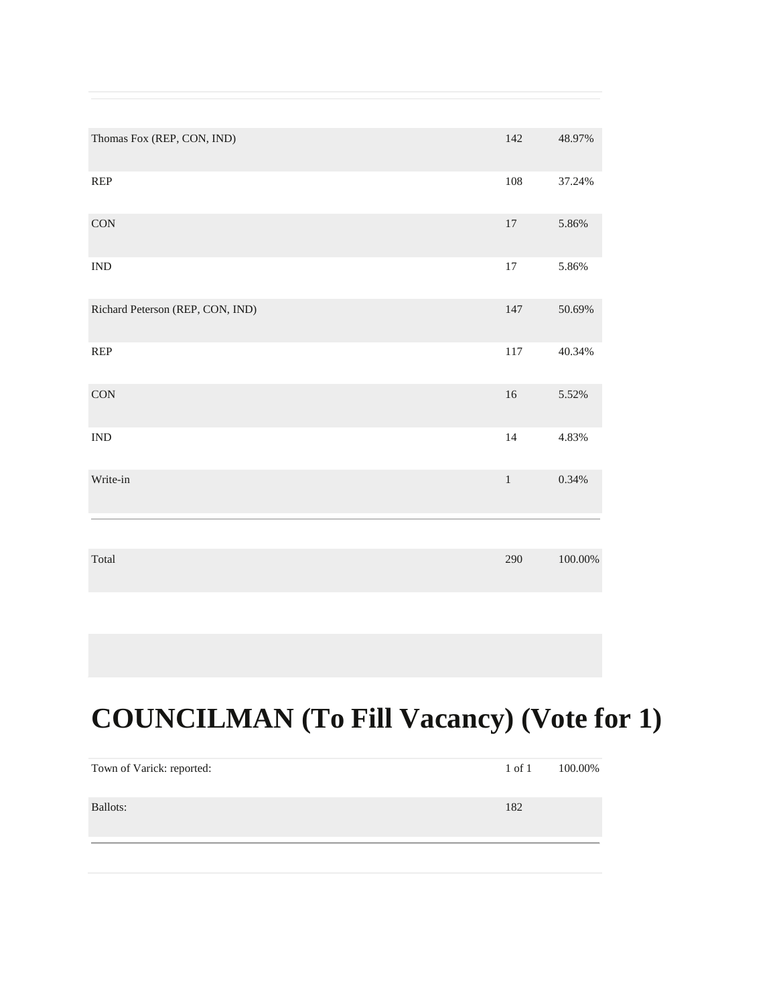| Thomas Fox (REP, CON, IND)       | 142     | 48.97%     |
|----------------------------------|---------|------------|
| REP                              | 108     | 37.24%     |
| $\rm CON$                        | $17\,$  | 5.86%      |
| <b>IND</b>                       | $17\,$  | 5.86%      |
| Richard Peterson (REP, CON, IND) | $147\,$ | 50.69%     |
| REP                              | 117     | 40.34%     |
| CON                              | $16\,$  | 5.52%      |
| $\ensuremath{\text{IND}}$        | 14      | 4.83%      |
| Write-in                         | $\,1\,$ | 0.34%      |
|                                  |         |            |
| Total                            | 290     | $100.00\%$ |

## **COUNCILMAN (To Fill Vacancy) (Vote for 1)**

| Town of Varick: reported: | $1$ of $1$ | 100.00% |
|---------------------------|------------|---------|
| Ballots:                  | 182        |         |
|                           |            |         |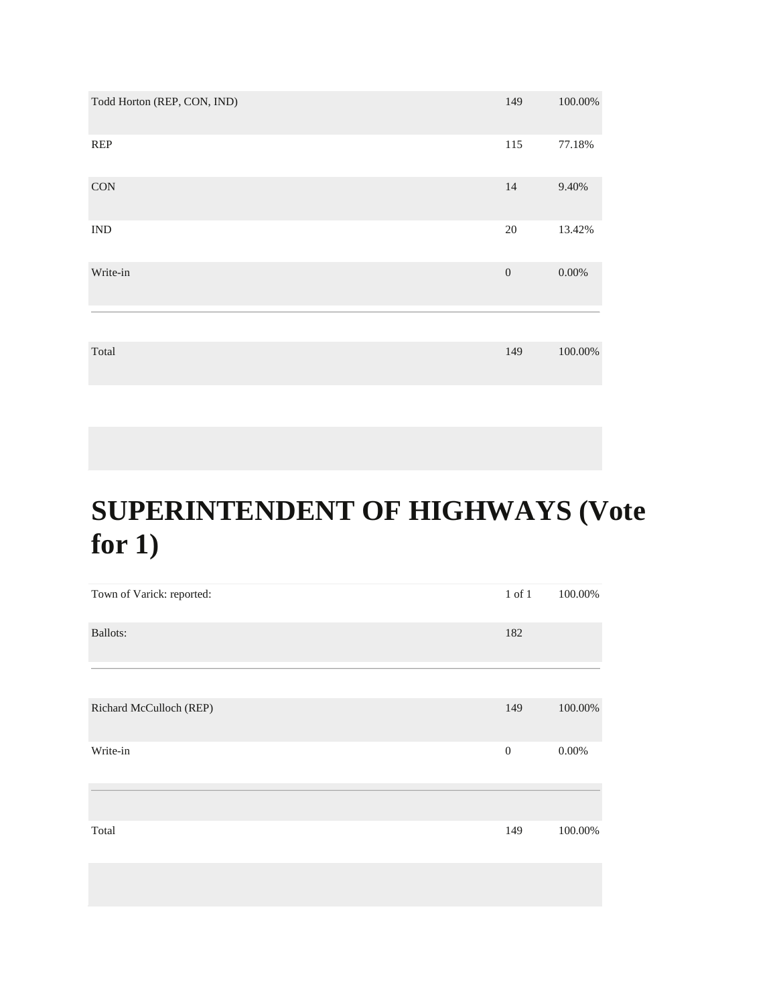| Todd Horton (REP, CON, IND) | 149              | 100.00%    |
|-----------------------------|------------------|------------|
| <b>REP</b>                  | 115              | 77.18%     |
| <b>CON</b>                  | 14               | 9.40%      |
| <b>IND</b>                  | $20\,$           | 13.42%     |
| Write-in                    | $\boldsymbol{0}$ | $0.00\%$   |
|                             |                  |            |
| Total                       | 149              | $100.00\%$ |

## **SUPERINTENDENT OF HIGHWAYS (Vote for 1)**

| Town of Varick: reported: | $1$ of $1\,$   | 100.00%  |
|---------------------------|----------------|----------|
| <b>Ballots:</b>           | 182            |          |
|                           |                |          |
| Richard McCulloch (REP)   | 149            | 100.00%  |
| Write-in                  | $\overline{0}$ | $0.00\%$ |
|                           |                |          |
| Total                     | 149            | 100.00%  |
|                           |                |          |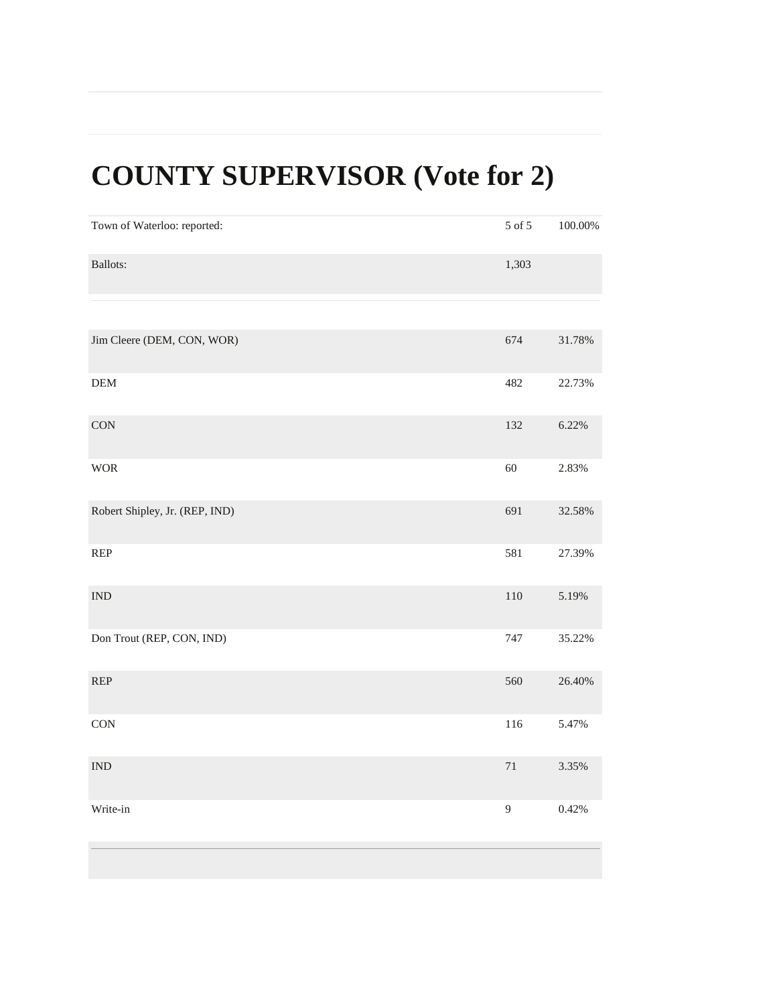## **COUNTY SUPERVISOR (Vote for 2)**

| Town of Waterloo: reported:                                             | 5 of 5       | $100.00\%$ |
|-------------------------------------------------------------------------|--------------|------------|
| Ballots:                                                                | 1,303        |            |
|                                                                         |              |            |
| Jim Cleere (DEM, CON, WOR)                                              | 674          | 31.78%     |
| <b>DEM</b>                                                              | 482          | 22.73%     |
| CON                                                                     | 132          | 6.22%      |
| <b>WOR</b>                                                              | 60           | 2.83%      |
| Robert Shipley, Jr. (REP, IND)                                          | 691          | 32.58%     |
| $\ensuremath{\mathsf{R}}\ensuremath{\mathsf{E}}\ensuremath{\mathsf{P}}$ | 581          | 27.39%     |
| $\ensuremath{\text{IND}}$                                               | 110          | 5.19%      |
| Don Trout (REP, CON, IND)                                               | 747          | 35.22%     |
| $\ensuremath{\mathsf{R}}\ensuremath{\mathsf{E}}\ensuremath{\mathsf{P}}$ | 560          | 26.40%     |
| CON                                                                     | 116          | 5.47%      |
| $\ensuremath{\text{IND}}$                                               | $71\,$       | 3.35%      |
| Write-in                                                                | $\mathbf{9}$ | 0.42%      |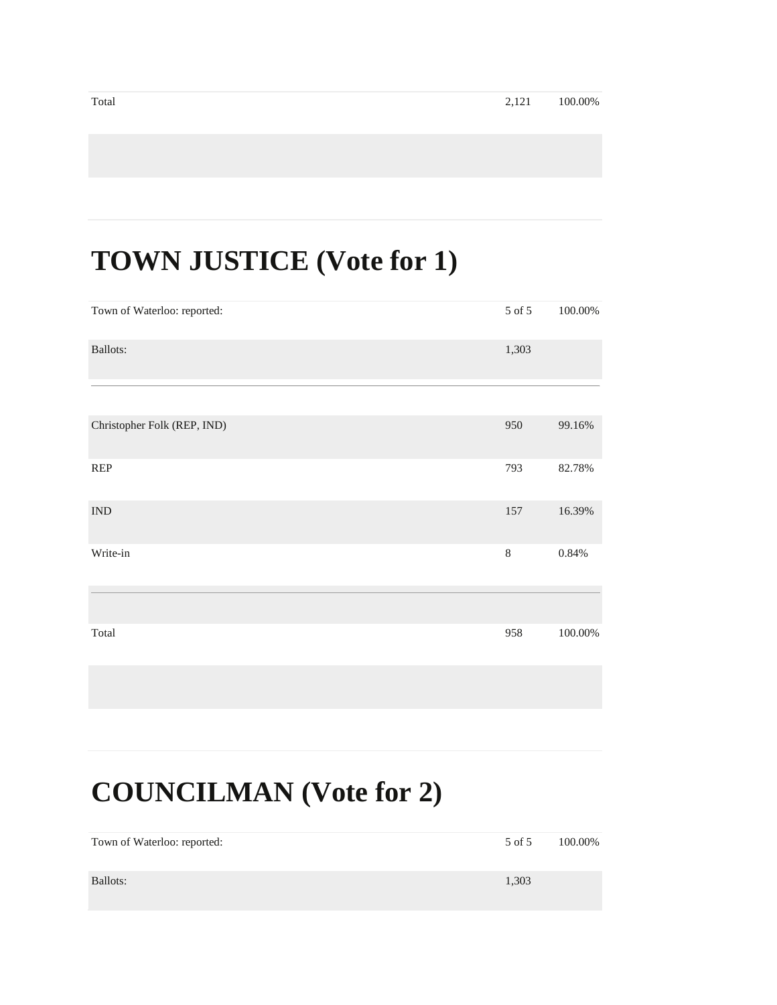#### **TOWN JUSTICE (Vote for 1)**

| Town of Waterloo: reported:                                             | 5 of 5  | 100.00%    |
|-------------------------------------------------------------------------|---------|------------|
| Ballots:                                                                | 1,303   |            |
|                                                                         |         |            |
| Christopher Folk (REP, IND)                                             | 950     | 99.16%     |
| $\ensuremath{\mathsf{R}}\ensuremath{\mathsf{E}}\ensuremath{\mathsf{P}}$ | 793     | 82.78%     |
| $\mathop{\rm IND}\nolimits$                                             | 157     | 16.39%     |
| Write-in                                                                | $\,8\,$ | $0.84\%$   |
|                                                                         |         |            |
| Total                                                                   | 958     | $100.00\%$ |
|                                                                         |         |            |

#### **COUNCILMAN (Vote for 2)**

| Town of Waterloo: reported: | 5 of 5 | 100.00% |
|-----------------------------|--------|---------|
| Ballots:                    | 1,303  |         |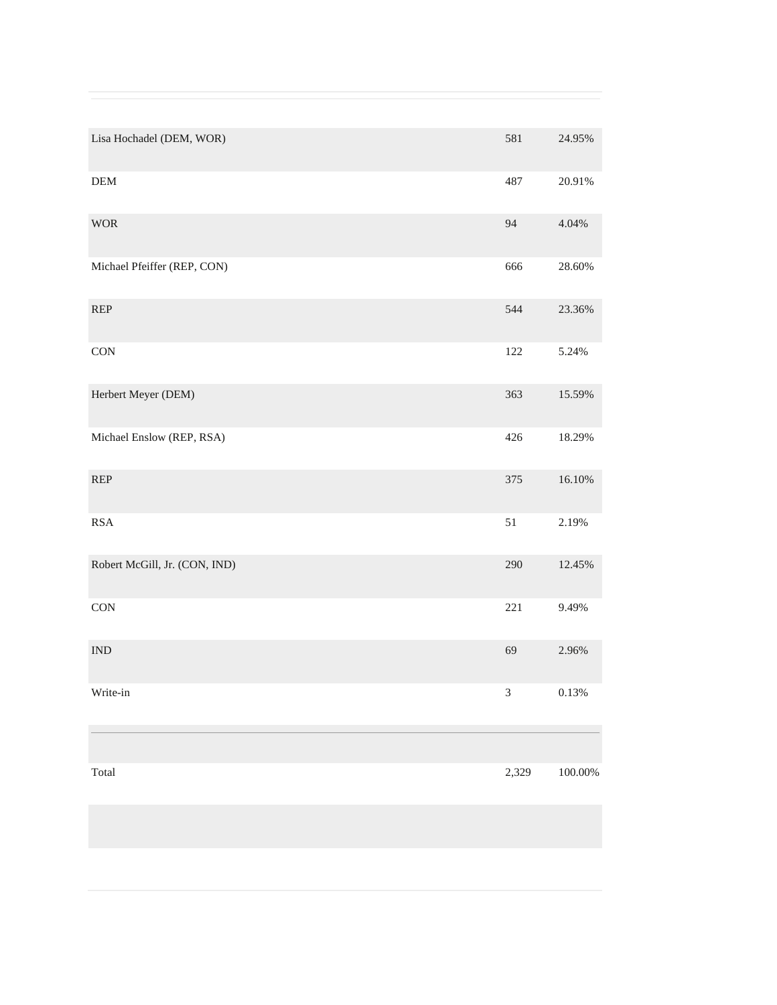| Lisa Hochadel (DEM, WOR)                                                | 581            | 24.95%     |
|-------------------------------------------------------------------------|----------------|------------|
| ${\rm DEM}$                                                             | 487            | 20.91%     |
| <b>WOR</b>                                                              | 94             | 4.04%      |
| Michael Pfeiffer (REP, CON)                                             | 666            | 28.60%     |
| $\ensuremath{\mathsf{R}}\ensuremath{\mathsf{E}}\ensuremath{\mathsf{P}}$ | 544            | 23.36%     |
| $\mathop{\rm CON}\nolimits$                                             | 122            | 5.24%      |
| Herbert Meyer (DEM)                                                     | 363            | 15.59%     |
| Michael Enslow (REP, RSA)                                               | 426            | 18.29%     |
| $\ensuremath{\mathsf{R}}\ensuremath{\mathsf{E}}\ensuremath{\mathsf{P}}$ | 375            | 16.10%     |
| <b>RSA</b>                                                              | 51             | 2.19%      |
| Robert McGill, Jr. (CON, IND)                                           | 290            | 12.45%     |
| CON                                                                     | 221            | 9.49%      |
| <b>IND</b>                                                              | 69             | 2.96%      |
| Write-in                                                                | $\mathfrak{Z}$ | $0.13\%$   |
|                                                                         |                |            |
| Total                                                                   | 2,329          | $100.00\%$ |
|                                                                         |                |            |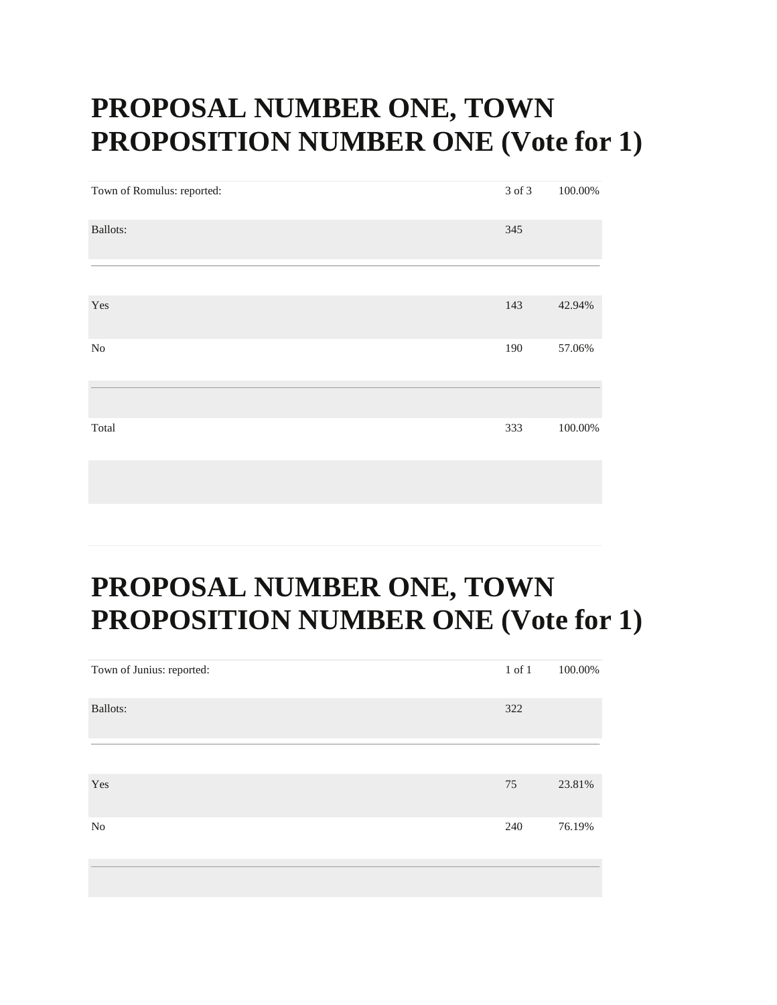#### **PROPOSAL NUMBER ONE, TOWN PROPOSITION NUMBER ONE (Vote for 1)**

| Town of Romulus: reported: | 3 of 3 | 100.00% |
|----------------------------|--------|---------|
| <b>Ballots:</b>            | 345    |         |
|                            |        |         |
| Yes                        | 143    | 42.94%  |
| N <sub>0</sub>             | 190    | 57.06%  |
|                            |        |         |
| Total                      | 333    | 100.00% |
|                            |        |         |

#### **PROPOSAL NUMBER ONE, TOWN PROPOSITION NUMBER ONE (Vote for 1)**

| Town of Junius: reported: | $1$ of $1$ | 100.00% |
|---------------------------|------------|---------|
| Ballots:                  | 322        |         |
|                           |            |         |
| Yes                       | 75         | 23.81%  |
| N <sub>0</sub>            | 240        | 76.19%  |